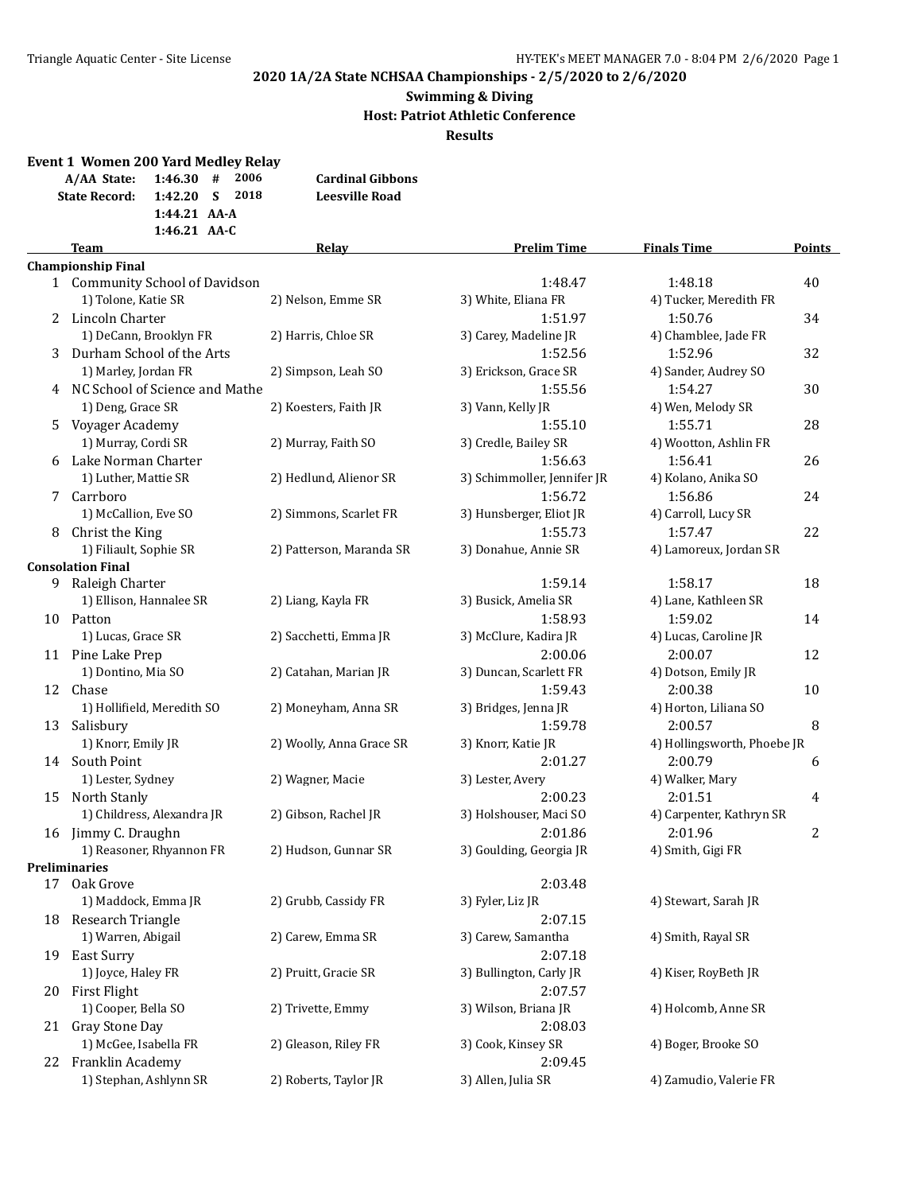#### **2020 1A/2A State NCHSAA Championships - 2/5/2020 to 2/6/2020**

#### **Swimming & Diving Host: Patriot Athletic Conference Results**

**Event 1 Women 200 Yard Medley Relay A/AA State: 1:46.30 # 2006 Cardinal Gibbons State Record: 1:42.20 S 2018 Leesville Road 1:44.21 AA-A 1:46.21 AA-C Team Relay Prelim Time Finals Time Points Championship Final** 1 Community School of Davidson 1:48.47 1:48.18 40

|                       | 1) Tolone, Katie SR            | 2) Nelson, Emme SR       | 3) White, Eliana FR         | 4) Tucker, Meredith FR      |    |
|-----------------------|--------------------------------|--------------------------|-----------------------------|-----------------------------|----|
| $\mathbf{2}^{\prime}$ | Lincoln Charter                |                          | 1:51.97                     | 1:50.76                     | 34 |
|                       | 1) DeCann, Brooklyn FR         | 2) Harris, Chloe SR      | 3) Carey, Madeline JR       | 4) Chamblee, Jade FR        |    |
| 3                     | Durham School of the Arts      |                          | 1:52.56                     | 1:52.96                     | 32 |
|                       | 1) Marley, Jordan FR           | 2) Simpson, Leah SO      | 3) Erickson, Grace SR       | 4) Sander, Audrey SO        |    |
| 4                     | NC School of Science and Mathe |                          | 1:55.56                     | 1:54.27                     | 30 |
|                       | 1) Deng, Grace SR              | 2) Koesters, Faith JR    | 3) Vann, Kelly JR           | 4) Wen, Melody SR           |    |
| 5                     | Voyager Academy                |                          | 1:55.10                     | 1:55.71                     | 28 |
|                       | 1) Murray, Cordi SR            | 2) Murray, Faith SO      | 3) Credle, Bailey SR        | 4) Wootton, Ashlin FR       |    |
| 6                     | Lake Norman Charter            |                          | 1:56.63                     | 1:56.41                     | 26 |
|                       | 1) Luther, Mattie SR           | 2) Hedlund, Alienor SR   | 3) Schimmoller, Jennifer JR | 4) Kolano, Anika SO         |    |
| 7                     | Carrboro                       |                          | 1:56.72                     | 1:56.86                     | 24 |
|                       | 1) McCallion, Eve SO           | 2) Simmons, Scarlet FR   | 3) Hunsberger, Eliot JR     | 4) Carroll, Lucy SR         |    |
| 8                     | Christ the King                |                          | 1:55.73                     | 1:57.47                     | 22 |
|                       | 1) Filiault, Sophie SR         | 2) Patterson, Maranda SR | 3) Donahue, Annie SR        | 4) Lamoreux, Jordan SR      |    |
|                       | <b>Consolation Final</b>       |                          |                             |                             |    |
|                       | 9 Raleigh Charter              |                          | 1:59.14                     | 1:58.17                     | 18 |
|                       | 1) Ellison, Hannalee SR        | 2) Liang, Kayla FR       | 3) Busick, Amelia SR        | 4) Lane, Kathleen SR        |    |
|                       | 10 Patton                      |                          | 1:58.93                     | 1:59.02                     | 14 |
|                       | 1) Lucas, Grace SR             | 2) Sacchetti, Emma JR    | 3) McClure, Kadira JR       | 4) Lucas, Caroline JR       |    |
|                       | 11 Pine Lake Prep              |                          | 2:00.06                     | 2:00.07                     | 12 |
|                       | 1) Dontino, Mia SO             | 2) Catahan, Marian JR    | 3) Duncan, Scarlett FR      | 4) Dotson, Emily JR         |    |
|                       | 12 Chase                       |                          | 1:59.43                     | 2:00.38                     | 10 |
|                       | 1) Hollifield, Meredith SO     | 2) Moneyham, Anna SR     | 3) Bridges, Jenna JR        | 4) Horton, Liliana SO       |    |
|                       | 13 Salisbury                   |                          | 1:59.78                     | 2:00.57                     | 8  |
|                       | 1) Knorr, Emily JR             | 2) Woolly, Anna Grace SR | 3) Knorr, Katie JR          | 4) Hollingsworth, Phoebe JR |    |
|                       | 14 South Point                 |                          | 2:01.27                     | 2:00.79                     | 6  |
|                       | 1) Lester, Sydney              | 2) Wagner, Macie         | 3) Lester, Avery            | 4) Walker, Mary             |    |
|                       | 15 North Stanly                |                          | 2:00.23                     | 2:01.51                     | 4  |
|                       | 1) Childress, Alexandra JR     | 2) Gibson, Rachel JR     | 3) Holshouser, Maci SO      | 4) Carpenter, Kathryn SR    |    |
|                       | 16 Jimmy C. Draughn            |                          | 2:01.86                     | 2:01.96                     | 2  |
|                       | 1) Reasoner, Rhyannon FR       | 2) Hudson, Gunnar SR     | 3) Goulding, Georgia JR     | 4) Smith, Gigi FR           |    |
|                       | <b>Preliminaries</b>           |                          |                             |                             |    |
|                       | 17 Oak Grove                   |                          | 2:03.48                     |                             |    |
|                       | 1) Maddock, Emma JR            | 2) Grubb, Cassidy FR     | 3) Fyler, Liz JR            | 4) Stewart, Sarah JR        |    |
| 18                    | Research Triangle              |                          | 2:07.15                     |                             |    |
|                       | 1) Warren, Abigail             | 2) Carew, Emma SR        | 3) Carew, Samantha          | 4) Smith, Rayal SR          |    |
|                       | 19 East Surry                  |                          | 2:07.18                     |                             |    |
|                       | 1) Joyce, Haley FR             | 2) Pruitt, Gracie SR     | 3) Bullington, Carly JR     | 4) Kiser, RoyBeth JR        |    |
| 20                    | First Flight                   |                          | 2:07.57                     |                             |    |
|                       | 1) Cooper, Bella SO            | 2) Trivette, Emmy        | 3) Wilson, Briana JR        | 4) Holcomb, Anne SR         |    |
| 21                    | Gray Stone Day                 |                          | 2:08.03                     |                             |    |
|                       | 1) McGee, Isabella FR          | 2) Gleason, Riley FR     | 3) Cook, Kinsey SR          | 4) Boger, Brooke SO         |    |
|                       | 22 Franklin Academy            |                          | 2:09.45                     |                             |    |
|                       | 1) Stephan, Ashlynn SR         | 2) Roberts, Taylor JR    | 3) Allen, Julia SR          | 4) Zamudio, Valerie FR      |    |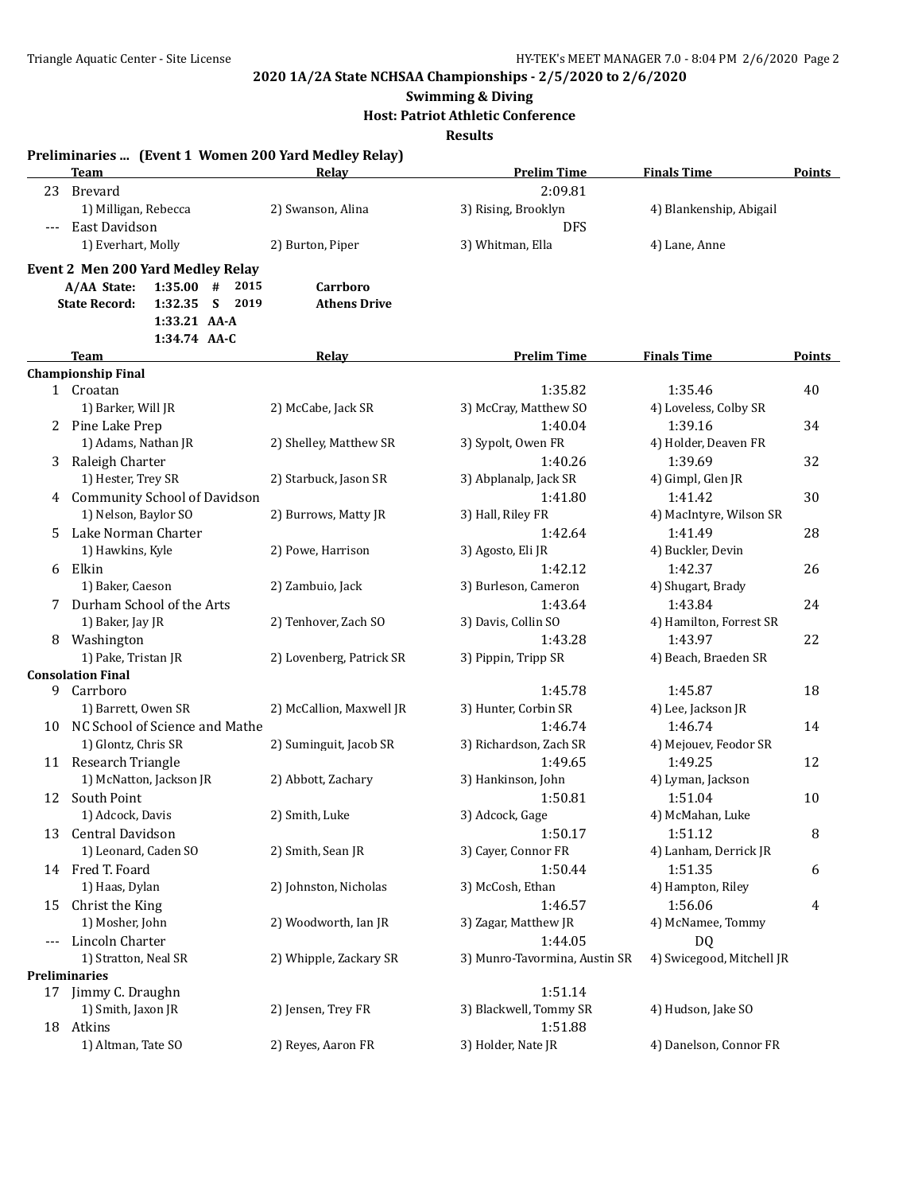#### **Swimming & Diving**

**Host: Patriot Athletic Conference**

**Results**

|       | Preliminaries  (Event 1 Women 200 Yard Medley Relay)                         |                          |                               |                           |        |
|-------|------------------------------------------------------------------------------|--------------------------|-------------------------------|---------------------------|--------|
|       | <b>Team</b>                                                                  | Relay                    | <b>Prelim Time</b>            | <b>Finals Time</b>        | Points |
| 23    | <b>Brevard</b>                                                               |                          | 2:09.81                       |                           |        |
|       | 1) Milligan, Rebecca                                                         | 2) Swanson, Alina        | 3) Rising, Brooklyn           | 4) Blankenship, Abigail   |        |
| $---$ | East Davidson                                                                |                          | <b>DFS</b>                    |                           |        |
|       | 1) Everhart, Molly                                                           | 2) Burton, Piper         | 3) Whitman, Ella              | 4) Lane, Anne             |        |
|       | <b>Event 2 Men 200 Yard Medley Relay</b>                                     |                          |                               |                           |        |
|       | A/AA State:<br>$1:35.00$ #<br>2015                                           | Carrboro                 |                               |                           |        |
|       | S<br>2019<br><b>State Record:</b><br>1:32.35<br>1:33.21 AA-A<br>1:34.74 AA-C | <b>Athens Drive</b>      |                               |                           |        |
|       | Team                                                                         | <u>Relay</u>             | <b>Prelim Time</b>            | <b>Finals Time</b>        | Points |
|       | <b>Championship Final</b>                                                    |                          |                               |                           |        |
|       | 1 Croatan                                                                    |                          | 1:35.82                       | 1:35.46                   | 40     |
|       | 1) Barker, Will JR                                                           | 2) McCabe, Jack SR       | 3) McCray, Matthew SO         | 4) Loveless, Colby SR     |        |
| 2     | Pine Lake Prep                                                               |                          | 1:40.04                       | 1:39.16                   | 34     |
|       | 1) Adams, Nathan JR                                                          | 2) Shelley, Matthew SR   | 3) Sypolt, Owen FR            | 4) Holder, Deaven FR      |        |
| 3     | Raleigh Charter                                                              |                          | 1:40.26                       | 1:39.69                   | 32     |
|       | 1) Hester, Trey SR                                                           | 2) Starbuck, Jason SR    | 3) Abplanalp, Jack SR         | 4) Gimpl, Glen JR         |        |
|       | 4 Community School of Davidson                                               |                          | 1:41.80                       | 1:41.42                   | 30     |
|       | 1) Nelson, Baylor SO                                                         | 2) Burrows, Matty JR     | 3) Hall, Riley FR             | 4) MacIntyre, Wilson SR   |        |
|       | 5 Lake Norman Charter                                                        |                          | 1:42.64                       | 1:41.49                   | 28     |
|       | 1) Hawkins, Kyle                                                             | 2) Powe, Harrison        | 3) Agosto, Eli JR             | 4) Buckler, Devin         |        |
|       | 6 Elkin                                                                      |                          | 1:42.12                       | 1:42.37                   | 26     |
|       | 1) Baker, Caeson                                                             | 2) Zambuio, Jack         | 3) Burleson, Cameron          | 4) Shugart, Brady         |        |
|       | 7 Durham School of the Arts                                                  |                          | 1:43.64                       | 1:43.84                   | 24     |
|       | 1) Baker, Jay JR                                                             | 2) Tenhover, Zach SO     | 3) Davis, Collin SO           | 4) Hamilton, Forrest SR   |        |
|       | 8 Washington                                                                 |                          | 1:43.28                       | 1:43.97                   | 22     |
|       | 1) Pake, Tristan JR                                                          | 2) Lovenberg, Patrick SR | 3) Pippin, Tripp SR           | 4) Beach, Braeden SR      |        |
|       | <b>Consolation Final</b>                                                     |                          |                               |                           |        |
| 9.    | Carrboro                                                                     |                          | 1:45.78                       | 1:45.87                   | 18     |
|       | 1) Barrett, Owen SR                                                          | 2) McCallion, Maxwell JR | 3) Hunter, Corbin SR          | 4) Lee, Jackson JR        |        |
|       | 10 NC School of Science and Mathe                                            |                          | 1:46.74                       | 1:46.74                   | 14     |
|       | 1) Glontz, Chris SR                                                          | 2) Suminguit, Jacob SR   | 3) Richardson, Zach SR        | 4) Mejouev, Feodor SR     |        |
|       | 11 Research Triangle                                                         |                          | 1:49.65                       | 1:49.25                   | 12     |
|       | 1) McNatton, Jackson JR                                                      | 2) Abbott, Zachary       | 3) Hankinson, John            | 4) Lyman, Jackson         |        |
| 12    | South Point                                                                  |                          | 1:50.81                       | 1:51.04                   | 10     |
|       | 1) Adcock, Davis                                                             | 2) Smith, Luke           | 3) Adcock, Gage               | 4) McMahan, Luke          |        |
| 13    | Central Davidson                                                             |                          | 1:50.17                       | 1:51.12                   | 8      |
|       | 1) Leonard, Caden SO                                                         | 2) Smith, Sean JR        | 3) Cayer, Connor FR           | 4) Lanham, Derrick JR     |        |
|       | 14 Fred T. Foard                                                             |                          | 1:50.44                       | 1:51.35                   | 6      |
|       | 1) Haas, Dylan                                                               | 2) Johnston, Nicholas    | 3) McCosh, Ethan              | 4) Hampton, Riley         |        |
| 15    | Christ the King                                                              |                          | 1:46.57                       | 1:56.06                   | 4      |
|       | 1) Mosher, John                                                              | 2) Woodworth, Ian JR     | 3) Zagar, Matthew JR          | 4) McNamee, Tommy         |        |
| ---   | Lincoln Charter                                                              |                          | 1:44.05                       | DQ                        |        |
|       | 1) Stratton, Neal SR                                                         | 2) Whipple, Zackary SR   | 3) Munro-Tavormina, Austin SR | 4) Swicegood, Mitchell JR |        |
|       | Preliminaries                                                                |                          |                               |                           |        |
|       | 17 Jimmy C. Draughn                                                          |                          | 1:51.14                       |                           |        |
|       | 1) Smith, Jaxon JR                                                           | 2) Jensen, Trey FR       | 3) Blackwell, Tommy SR        | 4) Hudson, Jake SO        |        |
|       | 18 Atkins                                                                    |                          | 1:51.88                       |                           |        |
|       | 1) Altman, Tate SO                                                           | 2) Reyes, Aaron FR       | 3) Holder, Nate JR            | 4) Danelson, Connor FR    |        |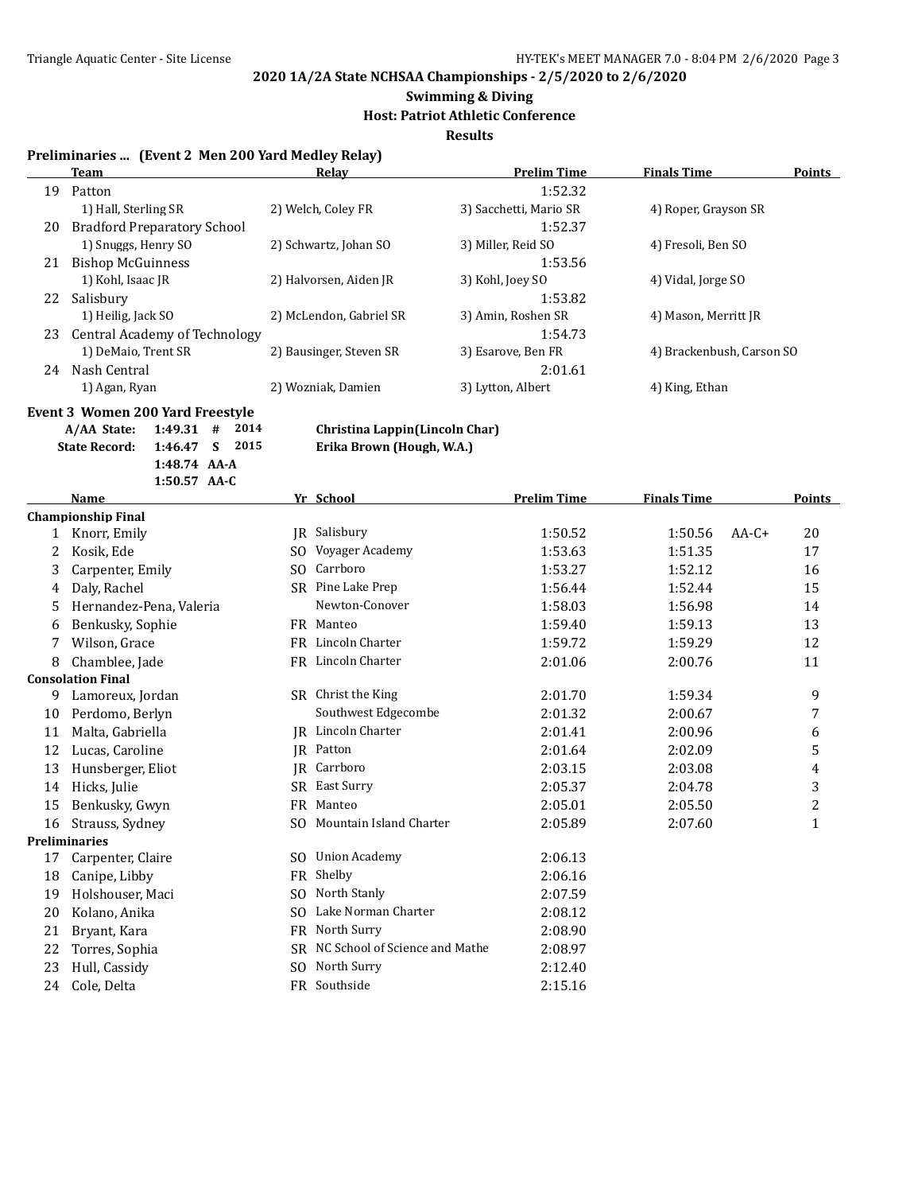### **Swimming & Diving**

#### **Host: Patriot Athletic Conference**

**Results**

#### **Preliminaries ... (Event 2 Men 200 Yard Medley Relay)**

|    | Team                               | Relay                   | <b>Prelim Time</b>     | <b>Finals Time</b>        | <b>Points</b> |
|----|------------------------------------|-------------------------|------------------------|---------------------------|---------------|
| 19 | Patton                             |                         | 1:52.32                |                           |               |
|    | 1) Hall, Sterling SR               | 2) Welch, Coley FR      | 3) Sacchetti, Mario SR | 4) Roper, Grayson SR      |               |
| 20 | <b>Bradford Preparatory School</b> |                         | 1:52.37                |                           |               |
|    | 1) Snuggs, Henry SO                | 2) Schwartz, Johan SO   | 3) Miller, Reid SO     | 4) Fresoli, Ben SO        |               |
| 21 | Bishop McGuinness                  |                         | 1:53.56                |                           |               |
|    | 1) Kohl, Isaac JR                  | 2) Halvorsen, Aiden JR  | 3) Kohl, Joey SO       | 4) Vidal, Jorge SO        |               |
| 22 | Salisbury                          |                         | 1:53.82                |                           |               |
|    | 1) Heilig, Jack SO                 | 2) McLendon, Gabriel SR | 3) Amin, Roshen SR     | 4) Mason, Merritt JR      |               |
| 23 | Central Academy of Technology      |                         | 1:54.73                |                           |               |
|    | 1) DeMaio, Trent SR                | 2) Bausinger, Steven SR | 3) Esarove, Ben FR     | 4) Brackenbush, Carson SO |               |
| 24 | Nash Central                       |                         | 2:01.61                |                           |               |
|    | 1) Agan, Ryan                      | 2) Wozniak, Damien      | 3) Lytton, Albert      | 4) King, Ethan            |               |

# **Event 3 Women 200 Yard Freestyle**<br>A/AA State: 1:49.31 # 2014

**State Record: 1:46.47 S 2015 Erika Brown (Hough, W.A.) 1:48.74 AA-A 1:50.57 AA-C**

**A/AA State: 1:49.31 # 2014 Christina Lappin(Lincoln Char)**

|    | <b>Name</b>               |     | Yr School                      | <b>Prelim Time</b> | <b>Finals Time</b> |         | <b>Points</b>           |
|----|---------------------------|-----|--------------------------------|--------------------|--------------------|---------|-------------------------|
|    | <b>Championship Final</b> |     |                                |                    |                    |         |                         |
| 1  | Knorr, Emily              |     | JR Salisbury                   | 1:50.52            | 1:50.56            | $AA-C+$ | 20                      |
| 2  | Kosik, Ede                | SO. | Voyager Academy                | 1:53.63            | 1:51.35            |         | 17                      |
| 3  | Carpenter, Emily          | SO. | Carrboro                       | 1:53.27            | 1:52.12            |         | 16                      |
| 4  | Daly, Rachel              | SR. | Pine Lake Prep                 | 1:56.44            | 1:52.44            |         | 15                      |
| 5  | Hernandez-Pena, Valeria   |     | Newton-Conover                 | 1:58.03            | 1:56.98            |         | 14                      |
| 6  | Benkusky, Sophie          |     | FR Manteo                      | 1:59.40            | 1:59.13            |         | 13                      |
| 7  | Wilson, Grace             |     | FR Lincoln Charter             | 1:59.72            | 1:59.29            |         | 12                      |
| 8  | Chamblee, Jade            |     | FR Lincoln Charter             | 2:01.06            | 2:00.76            |         | 11                      |
|    | <b>Consolation Final</b>  |     |                                |                    |                    |         |                         |
| 9  | Lamoreux, Jordan          |     | SR Christ the King             | 2:01.70            | 1:59.34            |         | 9                       |
| 10 | Perdomo, Berlyn           |     | Southwest Edgecombe            | 2:01.32            | 2:00.67            |         | 7                       |
| 11 | Malta, Gabriella          |     | <b>IR</b> Lincoln Charter      | 2:01.41            | 2:00.96            |         | 6                       |
| 12 | Lucas, Caroline           |     | IR Patton                      | 2:01.64            | 2:02.09            |         | 5                       |
| 13 | Hunsberger, Eliot         |     | JR Carrboro                    | 2:03.15            | 2:03.08            |         | 4                       |
| 14 | Hicks, Julie              | SR  | East Surry                     | 2:05.37            | 2:04.78            |         | 3                       |
| 15 | Benkusky, Gwyn            | FR  | Manteo                         | 2:05.01            | 2:05.50            |         | $\overline{\mathbf{c}}$ |
| 16 | Strauss, Sydney           | SO. | Mountain Island Charter        | 2:05.89            | 2:07.60            |         | $\mathbf{1}$            |
|    | <b>Preliminaries</b>      |     |                                |                    |                    |         |                         |
| 17 | Carpenter, Claire         | SO. | <b>Union Academy</b>           | 2:06.13            |                    |         |                         |
| 18 | Canipe, Libby             | FR  | Shelby                         | 2:06.16            |                    |         |                         |
| 19 | Holshouser, Maci          | SO. | North Stanly                   | 2:07.59            |                    |         |                         |
| 20 | Kolano, Anika             |     | SO Lake Norman Charter         | 2:08.12            |                    |         |                         |
| 21 | Bryant, Kara              | FR  | North Surry                    | 2:08.90            |                    |         |                         |
| 22 | Torres, Sophia            | SR. | NC School of Science and Mathe | 2:08.97            |                    |         |                         |
| 23 | Hull, Cassidy             | SO. | North Surry                    | 2:12.40            |                    |         |                         |
| 24 | Cole, Delta               |     | FR Southside                   | 2:15.16            |                    |         |                         |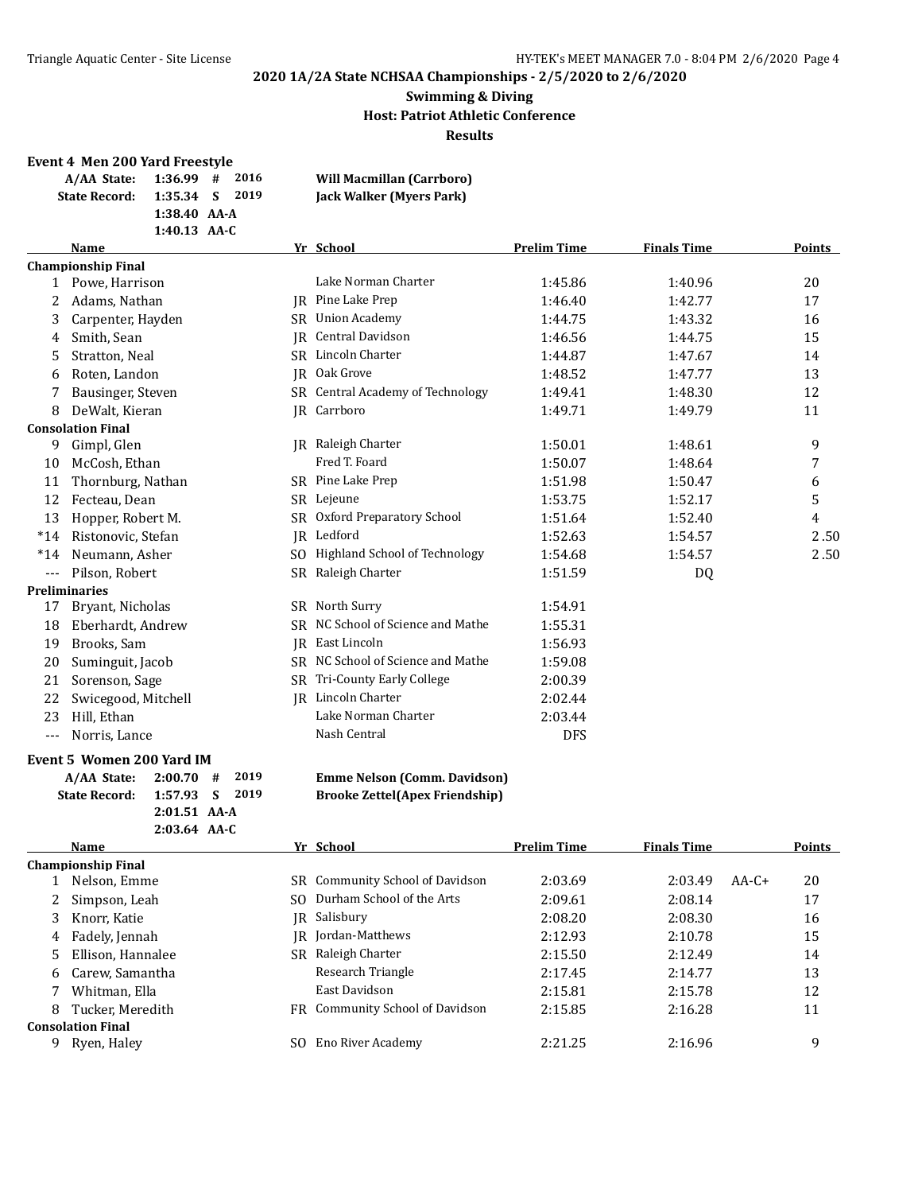#### **Swimming & Diving Host: Patriot Athletic Conference Results**

#### **Event 4 Men 200 Yard Freestyle**

| A/AA State:          | $1:36.99$ # 2016 | <b>Will Macmillan (Carrboro)</b> |
|----------------------|------------------|----------------------------------|
| <b>State Record:</b> | 1:35.34 S 2019   | Jack Walker (Myers Park)         |
|                      | $1:38.40$ AA-A   |                                  |
|                      | $1:40.13$ AA-C   |                                  |

|       | <b>Name</b>               |           | Yr School                            | <b>Prelim Time</b> | <b>Finals Time</b> | Points |
|-------|---------------------------|-----------|--------------------------------------|--------------------|--------------------|--------|
|       | <b>Championship Final</b> |           |                                      |                    |                    |        |
| 1     | Powe, Harrison            |           | Lake Norman Charter                  | 1:45.86            | 1:40.96            | 20     |
| 2     | Adams, Nathan             | IR        | Pine Lake Prep                       | 1:46.40            | 1:42.77            | 17     |
| 3     | Carpenter, Hayden         | SR        | <b>Union Academy</b>                 | 1:44.75            | 1:43.32            | 16     |
| 4     | Smith, Sean               | IR.       | Central Davidson                     | 1:46.56            | 1:44.75            | 15     |
| 5     | Stratton, Neal            | SR.       | Lincoln Charter                      | 1:44.87            | 1:47.67            | 14     |
| 6     | Roten, Landon             | IR        | Oak Grove                            | 1:48.52            | 1:47.77            | 13     |
|       | Bausinger, Steven         | SR.       | Central Academy of Technology        | 1:49.41            | 1:48.30            | 12     |
| 8     | DeWalt, Kieran            |           | JR Carrboro                          | 1:49.71            | 1:49.79            | 11     |
|       | <b>Consolation Final</b>  |           |                                      |                    |                    |        |
| 9     | Gimpl, Glen               |           | <b>IR</b> Raleigh Charter            | 1:50.01            | 1:48.61            | 9      |
| 10    | McCosh, Ethan             |           | Fred T. Foard                        | 1:50.07            | 1:48.64            | 7      |
| 11    | Thornburg, Nathan         |           | SR Pine Lake Prep                    | 1:51.98            | 1:50.47            | 6      |
| 12    | Fecteau, Dean             |           | SR Lejeune                           | 1:53.75            | 1:52.17            | 5      |
| 13    | Hopper, Robert M.         | <b>SR</b> | Oxford Preparatory School            | 1:51.64            | 1:52.40            | 4      |
| $*14$ | Ristonovic, Stefan        | IR        | Ledford                              | 1:52.63            | 1:54.57            | 2.50   |
| $*14$ | Neumann, Asher            | SO.       | <b>Highland School of Technology</b> | 1:54.68            | 1:54.57            | 2.50   |
|       | Pilson, Robert            |           | SR Raleigh Charter                   | 1:51.59            | DQ                 |        |
|       | <b>Preliminaries</b>      |           |                                      |                    |                    |        |
| 17    | Bryant, Nicholas          | SR        | North Surry                          | 1:54.91            |                    |        |
| 18    | Eberhardt, Andrew         | SR.       | NC School of Science and Mathe       | 1:55.31            |                    |        |
| 19    | Brooks, Sam               |           | JR East Lincoln                      | 1:56.93            |                    |        |
| 20    | Suminguit, Jacob          | SR.       | NC School of Science and Mathe       | 1:59.08            |                    |        |
| 21    | Sorenson, Sage            |           | SR Tri-County Early College          | 2:00.39            |                    |        |
| 22    | Swicegood, Mitchell       |           | <b>IR</b> Lincoln Charter            | 2:02.44            |                    |        |
| 23    | Hill, Ethan               |           | Lake Norman Charter                  | 2:03.44            |                    |        |
| $---$ | Norris, Lance             |           | Nash Central                         | <b>DFS</b>         |                    |        |

#### **Event 5 Women 200 Yard IM**

| $A/AA$ State: $2:00.70$ # $2019$ |                |  |  |
|----------------------------------|----------------|--|--|
| State Record: 1:57.93 S 2019     |                |  |  |
|                                  | $2:01.51$ AA-A |  |  |
|                                  | $2:03.64$ AA-C |  |  |

#### **A/AA State: 2:00.70 # 2019 Emme Nelson (Comm. Davidson) State Record: 1:57.93 S 2019 Brooke Zettel(Apex Friendship)**

|   | <b>Name</b>              |     | Yr School                       | <b>Prelim Time</b> | <b>Finals Time</b> |         | <b>Points</b> |
|---|--------------------------|-----|---------------------------------|--------------------|--------------------|---------|---------------|
|   | Championship Final       |     |                                 |                    |                    |         |               |
|   | Nelson, Emme             | SR. | Community School of Davidson    | 2:03.69            | 2:03.49            | $AA-C+$ | 20            |
| 2 | Simpson, Leah            | SO. | Durham School of the Arts       | 2:09.61            | 2:08.14            |         | 17            |
| 3 | Knorr, Katie             | IR. | Salisbury                       | 2:08.20            | 2:08.30            |         | 16            |
| 4 | Fadely, Jennah           | IR- | Jordan-Matthews                 | 2:12.93            | 2:10.78            |         | 15            |
| 5 | Ellison, Hannalee        | SR  | Raleigh Charter                 | 2:15.50            | 2:12.49            |         | 14            |
| 6 | Carew, Samantha          |     | Research Triangle               | 2:17.45            | 2:14.77            |         | 13            |
|   | Whitman, Ella            |     | East Davidson                   | 2:15.81            | 2:15.78            |         | 12            |
| 8 | Tucker, Meredith         |     | FR Community School of Davidson | 2:15.85            | 2:16.28            |         | 11            |
|   | <b>Consolation Final</b> |     |                                 |                    |                    |         |               |
| 9 | Ryen, Haley              | SO. | Eno River Academy               | 2:21.25            | 2:16.96            |         | 9             |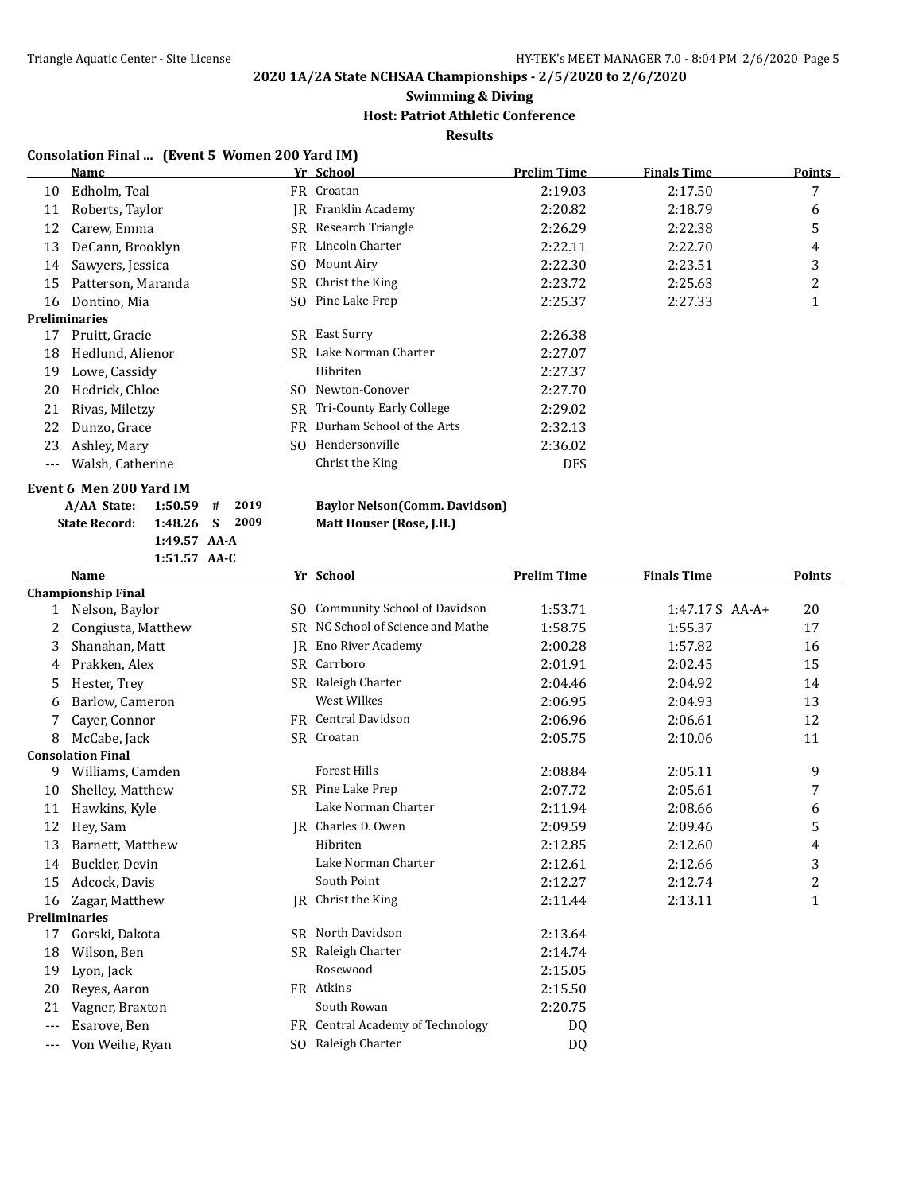#### **Swimming & Diving**

#### **Host: Patriot Athletic Conference**

**Results**

#### **Consolation Final ... (Event 5 Women 200 Yard IM)**

|    | Name                 |      | Yr School                  | <b>Prelim Time</b> | Finals Time | <b>Points</b>  |
|----|----------------------|------|----------------------------|--------------------|-------------|----------------|
| 10 | Edholm, Teal         |      | FR Croatan                 | 2:19.03            | 2:17.50     | 7              |
| 11 | Roberts, Taylor      |      | <b>IR</b> Franklin Academy | 2:20.82            | 2:18.79     | 6              |
| 12 | Carew, Emma          |      | SR Research Triangle       | 2:26.29            | 2:22.38     | 5              |
| 13 | DeCann, Brooklyn     |      | FR Lincoln Charter         | 2:22.11            | 2:22.70     | 4              |
| 14 | Sawyers, Jessica     | SO.  | Mount Airy                 | 2:22.30            | 2:23.51     | 3              |
| 15 | Patterson, Maranda   |      | SR Christ the King         | 2:23.72            | 2:25.63     | $\overline{2}$ |
| 16 | Dontino, Mia         | SO.  | Pine Lake Prep             | 2:25.37            | 2:27.33     | ᅩ              |
|    | <b>Preliminaries</b> |      |                            |                    |             |                |
| 17 | Pruitt, Gracie       |      | SR East Surry              | 2:26.38            |             |                |
| 18 | Hedlund, Alienor     | SR.  | Lake Norman Charter        | 2:27.07            |             |                |
| 19 | Lowe, Cassidy        |      | Hibriten                   | 2:27.37            |             |                |
| 20 | Hedrick, Chloe       | SO.  | Newton-Conover             | 2:27.70            |             |                |
| 21 | Rivas, Miletzy       | SR - | Tri-County Early College   | 2:29.02            |             |                |
| 22 | Dunzo, Grace         | FR   | Durham School of the Arts  | 2:32.13            |             |                |
| 23 | Ashley, Mary         | SO.  | Hendersonville             | 2:36.02            |             |                |
|    | Walsh, Catherine     |      | Christ the King            | <b>DFS</b>         |             |                |

### **Event 6 Men 200 Yard IM**

| A/AA State: 1:50.59 # 2019   |                |  |  |
|------------------------------|----------------|--|--|
| State Record: 1:48.26 S 2009 |                |  |  |
|                              | $1:49.57$ AA-A |  |  |
|                              | $1:51.57$ AA-C |  |  |

#### **A/AA State: 1:50.59 # 2019 Baylor Nelson(Comm. Davidson) State Record: 1:48.26 S 2009 Matt Houser (Rose, J.H.)**

|       | Name                      |           | Yr School                            | <b>Prelim Time</b> | <b>Finals Time</b> | <b>Points</b>  |
|-------|---------------------------|-----------|--------------------------------------|--------------------|--------------------|----------------|
|       | <b>Championship Final</b> |           |                                      |                    |                    |                |
| 1     | Nelson, Baylor            | SO.       | <b>Community School of Davidson</b>  | 1:53.71            | $1:47.17S$ AA-A+   | 20             |
| 2     | Congiusta, Matthew        | SR        | NC School of Science and Mathe       | 1:58.75            | 1:55.37            | 17             |
| 3     | Shanahan, Matt            | <b>IR</b> | Eno River Academy                    | 2:00.28            | 1:57.82            | 16             |
| 4     | Prakken, Alex             |           | SR Carrboro                          | 2:01.91            | 2:02.45            | 15             |
| 5     | Hester, Trey              | SR.       | Raleigh Charter                      | 2:04.46            | 2:04.92            | 14             |
| 6     | Barlow, Cameron           |           | <b>West Wilkes</b>                   | 2:06.95            | 2:04.93            | 13             |
|       | Cayer, Connor             |           | FR Central Davidson                  | 2:06.96            | 2:06.61            | 12             |
| 8     | McCabe, Jack              |           | SR Croatan                           | 2:05.75            | 2:10.06            | 11             |
|       | <b>Consolation Final</b>  |           |                                      |                    |                    |                |
| 9     | Williams, Camden          |           | <b>Forest Hills</b>                  | 2:08.84            | 2:05.11            | 9              |
| 10    | Shelley, Matthew          |           | SR Pine Lake Prep                    | 2:07.72            | 2:05.61            | 7              |
| 11    | Hawkins, Kyle             |           | Lake Norman Charter                  | 2:11.94            | 2:08.66            | 6              |
| 12    | Hev, Sam                  |           | JR Charles D. Owen                   | 2:09.59            | 2:09.46            | 5              |
| 13    | Barnett, Matthew          |           | Hibriten                             | 2:12.85            | 2:12.60            | 4              |
| 14    | Buckler, Devin            |           | Lake Norman Charter                  | 2:12.61            | 2:12.66            | 3              |
| 15    | Adcock, Davis             |           | South Point                          | 2:12.27            | 2:12.74            | $\overline{c}$ |
| 16    | Zagar, Matthew            | IR        | Christ the King                      | 2:11.44            | 2:13.11            | 1              |
|       | <b>Preliminaries</b>      |           |                                      |                    |                    |                |
| 17    | Gorski, Dakota            | SR.       | North Davidson                       | 2:13.64            |                    |                |
| 18    | Wilson, Ben               | <b>SR</b> | Raleigh Charter                      | 2:14.74            |                    |                |
| 19    | Lyon, Jack                |           | Rosewood                             | 2:15.05            |                    |                |
| 20    | Reyes, Aaron              |           | FR Atkins                            | 2:15.50            |                    |                |
| 21    | Vagner, Braxton           |           | South Rowan                          | 2:20.75            |                    |                |
| $---$ | Esarove, Ben              | FR        | <b>Central Academy of Technology</b> | DQ                 |                    |                |
| $---$ | Von Weihe, Ryan           | SO.       | Raleigh Charter                      | DQ                 |                    |                |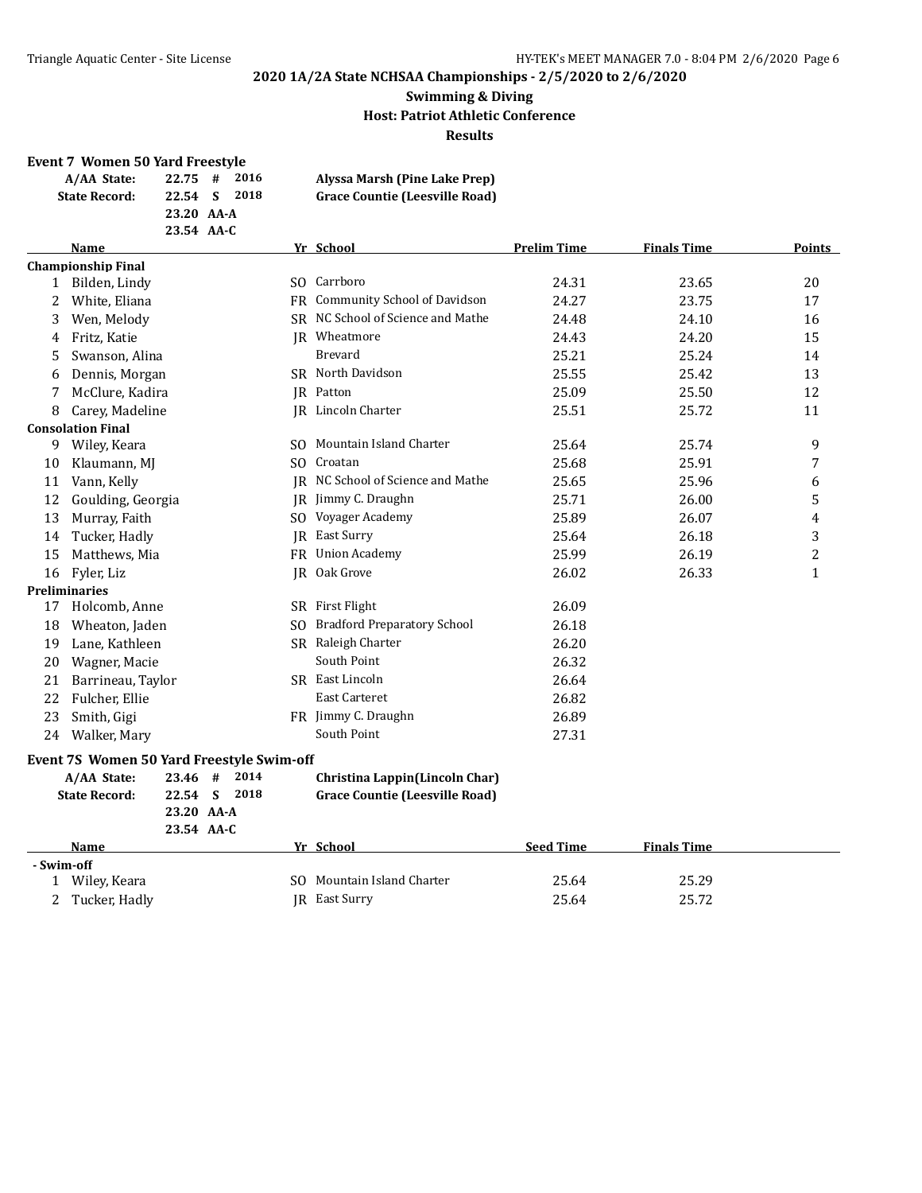#### **Swimming & Diving Host: Patriot Athletic Conference Results**

#### **Event 7 Women 50 Yard Freestyle**

| A/AA State:          | $22.75$ #  | 2016  | Alyssa Marsh (Pine Lake Prep)         |
|----------------------|------------|-------|---------------------------------------|
| <b>State Record:</b> | 22.54 S    | -2018 | <b>Grace Countie (Leesville Road)</b> |
|                      | 23.20 AA-A |       |                                       |
|                      | 23.54 AA-C |       |                                       |

|           | <b>Name</b>                               |   |      |           | Yr School                             | <b>Prelim Time</b> | <b>Finals Time</b> | Points       |
|-----------|-------------------------------------------|---|------|-----------|---------------------------------------|--------------------|--------------------|--------------|
|           | <b>Championship Final</b>                 |   |      |           |                                       |                    |                    |              |
| $1 \quad$ | Bilden, Lindy                             |   |      |           | SO Carrboro                           | 24.31              | 23.65              | 20           |
| 2         | White, Eliana                             |   |      |           | FR Community School of Davidson       | 24.27              | 23.75              | 17           |
| 3         | Wen, Melody                               |   |      |           | SR NC School of Science and Mathe     | 24.48              | 24.10              | 16           |
| 4         | Fritz, Katie                              |   |      |           | IR Wheatmore                          | 24.43              | 24.20              | 15           |
| 5         | Swanson, Alina                            |   |      |           | Brevard                               | 25.21              | 25.24              | 14           |
| 6         | Dennis, Morgan                            |   |      |           | SR North Davidson                     | 25.55              | 25.42              | 13           |
|           | McClure, Kadira                           |   |      |           | JR Patton                             | 25.09              | 25.50              | 12           |
| 8         | Carey, Madeline                           |   |      |           | <b>IR</b> Lincoln Charter             | 25.51              | 25.72              | 11           |
|           | <b>Consolation Final</b>                  |   |      |           |                                       |                    |                    |              |
| 9         | Wiley, Keara                              |   |      |           | SO Mountain Island Charter            | 25.64              | 25.74              | 9            |
| 10        | Klaumann, MJ                              |   |      |           | SO Croatan                            | 25.68              | 25.91              | 7            |
| 11        | Vann, Kelly                               |   |      |           | JR NC School of Science and Mathe     | 25.65              | 25.96              | 6            |
| 12        | Goulding, Georgia                         |   |      |           | JR Jimmy C. Draughn                   | 25.71              | 26.00              | 5            |
| 13        | Murray, Faith                             |   |      |           | SO Voyager Academy                    | 25.89              | 26.07              | 4            |
| 14        | Tucker, Hadly                             |   |      |           | <b>IR</b> East Surry                  | 25.64              | 26.18              | 3            |
| 15        | Matthews, Mia                             |   |      | <b>FR</b> | <b>Union Academy</b>                  | 25.99              | 26.19              | 2            |
| 16        | Fyler, Liz                                |   |      |           | JR Oak Grove                          | 26.02              | 26.33              | $\mathbf{1}$ |
|           | Preliminaries                             |   |      |           |                                       |                    |                    |              |
| 17        | Holcomb, Anne                             |   |      |           | SR First Flight                       | 26.09              |                    |              |
| 18        | Wheaton, Jaden                            |   |      |           | SO Bradford Preparatory School        | 26.18              |                    |              |
| 19        | Lane, Kathleen                            |   |      |           | SR Raleigh Charter                    | 26.20              |                    |              |
| 20        | Wagner, Macie                             |   |      |           | South Point                           | 26.32              |                    |              |
| 21        | Barrineau, Taylor                         |   |      |           | SR East Lincoln                       | 26.64              |                    |              |
| 22        | Fulcher, Ellie                            |   |      |           | <b>East Carteret</b>                  | 26.82              |                    |              |
| 23        | Smith, Gigi                               |   |      |           | FR Jimmy C. Draughn                   | 26.89              |                    |              |
| 24        | Walker, Mary                              |   |      |           | South Point                           | 27.31              |                    |              |
|           | Event 7S Women 50 Yard Freestyle Swim-off |   |      |           |                                       |                    |                    |              |
|           | A/AA State:<br>23.46                      | # | 2014 |           | Christina Lappin(Lincoln Char)        |                    |                    |              |
|           | <b>State Record:</b><br>22.54             | S | 2018 |           | <b>Grace Countie (Leesville Road)</b> |                    |                    |              |
|           | 23.20 AA-A                                |   |      |           |                                       |                    |                    |              |
|           | 23.54 AA-C                                |   |      |           |                                       |                    |                    |              |
|           | Name                                      |   |      |           | Yr School                             | <b>Seed Time</b>   | <b>Finals Time</b> |              |

#### **- Swim-off**

1 Wiley, Keara SO Mountain Island Charter 25.64 25.29 2 Tucker, Hadly **JR** East Surry 25.64 25.72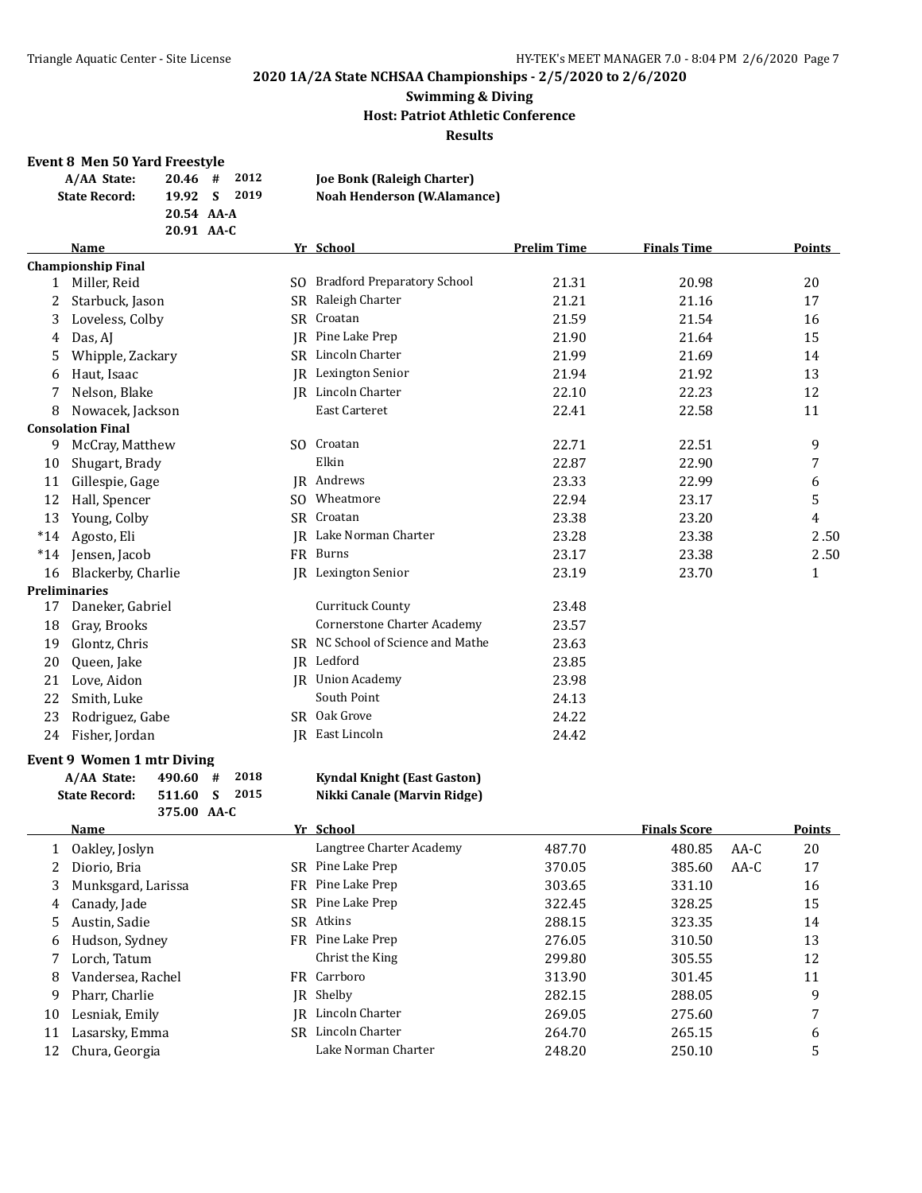#### **Swimming & Diving Host: Patriot Athletic Conference Results**

#### **Event 8 Men 50 Yard Freestyle**

| $20.46$ # 2012<br><b>Joe Bonk (Raleigh Charter)</b> |  |  | A/AA State:          |  |
|-----------------------------------------------------|--|--|----------------------|--|
| <b>Noah Henderson (W.Alamance)</b><br>19.92 S 2019  |  |  | <b>State Record:</b> |  |
| 20.54 AA-A                                          |  |  |                      |  |
| 20.91 AA-C                                          |  |  |                      |  |

#### **Name Yr School Prelim Time Finals Time Points Championship Final** 1 Miller, Reid SO Bradford Preparatory School 21.31 20.98 20 2 Starbuck, Jason SR Raleigh Charter 21.21 21.16 21.16 21.21 3 Loveless, Colby SR Croatan 21.59 21.54 16 4 Das, AJ 35 21.64 15 21.90 21.64 15 5 Whipple, Zackary SR Lincoln Charter 21.99 21.69 14 6 Haut, Isaac JR Lexington Senior 21.94 21.92 13 7 Nelson, Blake  $R$  Lincoln Charter 22.10 22.23 12 8 Nowacek, Jackson **East Carteret** 22.41 22.58 11 **Consolation Final** 9 McCray, Matthew SO Croatan 22.71 22.51 9 10 Shugart, Brady Elkin 22.87 22.90 7 11 Gillespie, Gage TR Andrews 18 and 123.33 22.99 6 12 Hall, Spencer SO Wheatmore 22.94 23.17 5 13 Young, Colby SR Croatan 23.38 23.20 4 \*14 Agosto, Eli JR Lake Norman Charter 23.28 23.38 2 . 50 \*14 Jensen, Jacob FR Burns 23.17 23.38 2 . 50 16 Blackerby, Charlie **IR** Lexington Senior 23.19 23.70 23.70 1 **Preliminaries** 17 Daneker, Gabriel Currituck County 23.48 18 Gray, Brooks Cornerstone Charter Academy 23.57 19 Glontz, Chris SR NC School of Science and Mathe 23.63 20 Queen, Jake JR Ledford JR Ledford 23.85 21 Love, Aidon **JR** Union Academy 23.98 22 Smith, Luke South Point 24.13 23 Rodriguez, Gabe SR Oak Grove 24.22 24 Fisher, Jordan JR East Lincoln 24.42

#### **Event 9 Women 1 mtr Diving**

| A/AA State:          | $490.60 + 2018$ |  |
|----------------------|-----------------|--|
| <b>State Record:</b> | 511.60 S 2015   |  |
|                      | 375.00 AA-C     |  |

#### **Kyndal Knight (East Gaston) State Record: 511.60 S 2015 Nikki Canale (Marvin Ridge)**

|    | <b>Name</b>        |     | Yr School                |        | <b>Finals Score</b> |      | <b>Points</b> |
|----|--------------------|-----|--------------------------|--------|---------------------|------|---------------|
|    | Oakley, Joslyn     |     | Langtree Charter Academy | 487.70 | 480.85              | AA-C | 20            |
|    | Diorio, Bria       |     | SR Pine Lake Prep        | 370.05 | 385.60              | AA-C | 17            |
| 3  | Munksgard, Larissa | FR  | Pine Lake Prep           | 303.65 | 331.10              |      | 16            |
| 4  | Canady, Jade       |     | SR Pine Lake Prep        | 322.45 | 328.25              |      | 15            |
| 5. | Austin, Sadie      | SR. | Atkins                   | 288.15 | 323.35              |      | 14            |
| 6  | Hudson, Sydney     |     | FR Pine Lake Prep        | 276.05 | 310.50              |      | 13            |
|    | Lorch, Tatum       |     | Christ the King          | 299.80 | 305.55              |      | 12            |
| 8  | Vandersea, Rachel  |     | FR Carrboro              | 313.90 | 301.45              |      | 11            |
| 9  | Pharr, Charlie     | IR  | Shelby                   | 282.15 | 288.05              |      | 9             |
| 10 | Lesniak, Emily     | IR  | Lincoln Charter          | 269.05 | 275.60              |      | 7             |
| 11 | Lasarsky, Emma     | SR  | Lincoln Charter          | 264.70 | 265.15              |      | 6             |
| 12 | Chura, Georgia     |     | Lake Norman Charter      | 248.20 | 250.10              |      | 5             |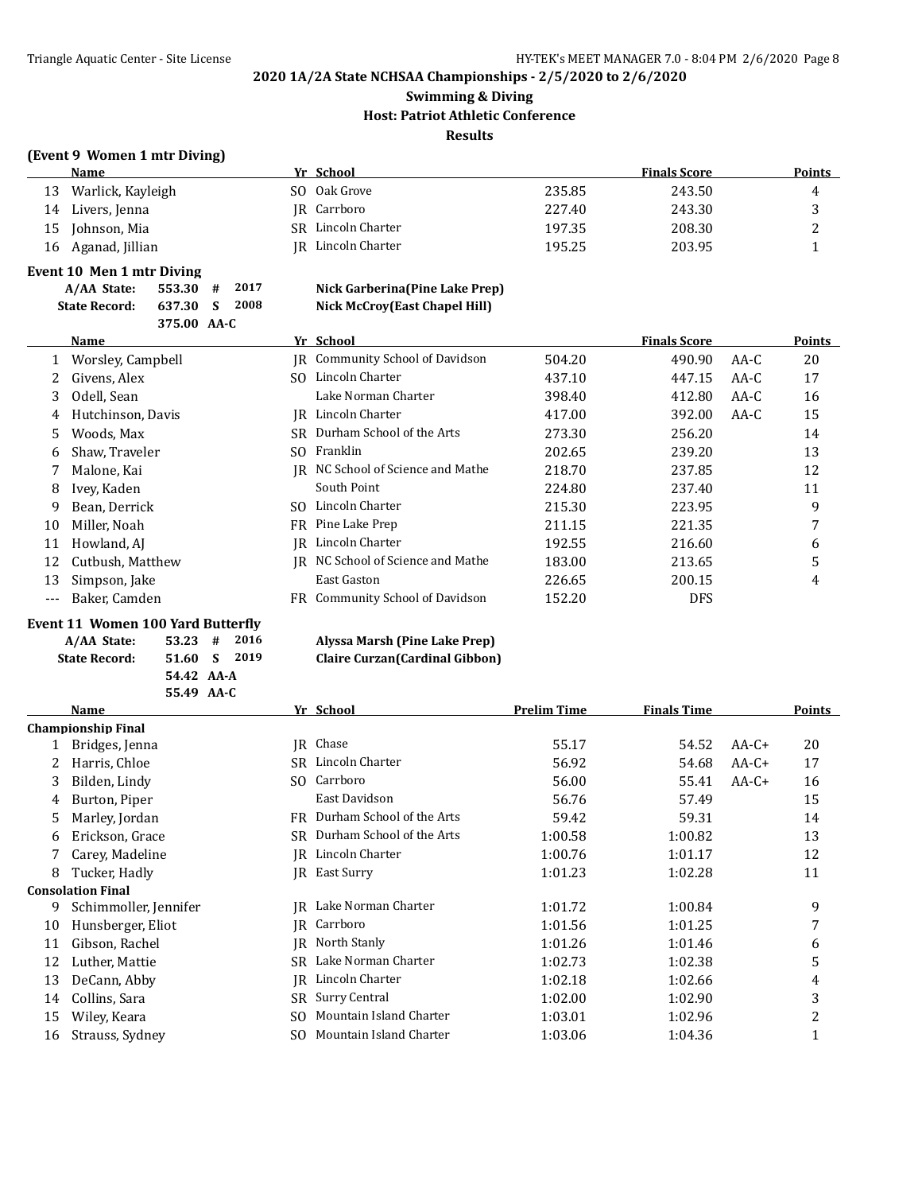## **Swimming & Diving Host: Patriot Athletic Conference Results**

#### **(Event 9 Women 1 mtr Diving)**

|    | Name              |     | Yr School       |        | <b>Finals Score</b> | Points |
|----|-------------------|-----|-----------------|--------|---------------------|--------|
| 13 | Warlick, Kayleigh | SO. | Oak Grove       | 235.85 | 243.50              | 4      |
| 14 | Livers, Jenna     |     | IR Carrboro     | 227.40 | 243.30              |        |
| 15 | Johnson, Mia      | SR  | Lincoln Charter | 197.35 | 208.30              |        |
| 16 | Aganad, Jillian   | IR  | Lincoln Charter | 195.25 | 203.95              |        |

#### **Event 10 Men 1 mtr Diving**

**A/AA State: 553.30 #** 2017 **State Record: 637.30 S 2008** 

**375.00 AA-C**

| Nick Garberina (Pine Lake Prep)      |
|--------------------------------------|
| <b>Nick McCroy(East Chapel Hill)</b> |

|              | <b>Name</b>              | Yr School                       |        | <b>Finals Score</b> |        | Points |
|--------------|--------------------------|---------------------------------|--------|---------------------|--------|--------|
| $\mathbf{1}$ | Worsley, Campbell<br>IR  | Community School of Davidson    | 504.20 | 490.90              | AA-C   | 20     |
| 2            | Givens, Alex<br>SO.      | Lincoln Charter                 | 437.10 | 447.15              | AA-C   | 17     |
| 3            | Odell, Sean              | Lake Norman Charter             | 398.40 | 412.80              | $AA-C$ | 16     |
| 4            | Hutchinson, Davis<br>IR. | Lincoln Charter                 | 417.00 | 392.00              | AA-C   | 15     |
| 5.           | Woods, Max               | SR Durham School of the Arts    | 273.30 | 256.20              |        | 14     |
| 6            | Shaw, Traveler<br>SO.    | Franklin                        | 202.65 | 239.20              |        | 13     |
| 7            | Malone, Kai<br>IR        | NC School of Science and Mathe  | 218.70 | 237.85              |        | 12     |
| 8            | Ivey, Kaden              | South Point                     | 224.80 | 237.40              |        | 11     |
| 9            | Bean, Derrick            | SO Lincoln Charter              | 215.30 | 223.95              |        | 9      |
| 10           | Miller. Noah             | FR Pine Lake Prep               | 211.15 | 221.35              |        |        |
| 11           | Howland, AJ<br>IR        | Lincoln Charter                 | 192.55 | 216.60              |        | 6      |
| 12           | Cutbush, Matthew<br>IR   | NC School of Science and Mathe  | 183.00 | 213.65              |        | 5      |
| 13           | Simpson, Jake            | East Gaston                     | 226.65 | 200.15              |        | 4      |
| ---          | Baker, Camden            | FR Community School of Davidson | 152.20 | <b>DFS</b>          |        |        |

#### **Event 11 Women 100 Yard Butterfly**

| A/AA State:          | $53.23$ # 2016 |  |
|----------------------|----------------|--|
| <b>State Record:</b> | 51.60 S 2019   |  |
|                      | 54.42 AA-A     |  |
|                      | 55.49 AA-C     |  |

#### **A/AA State: 53.23 # 2016 Alyssa Marsh (Pine Lake Prep) State Record: 51.60 S 2019 Claire Curzan(Cardinal Gibbon)**

|    | <b>Name</b>               |     | Yr School                 | <b>Prelim Time</b> | <b>Finals Time</b> |         | Points |
|----|---------------------------|-----|---------------------------|--------------------|--------------------|---------|--------|
|    | <b>Championship Final</b> |     |                           |                    |                    |         |        |
|    | Bridges, Jenna            | IR  | Chase                     | 55.17              | 54.52              | $AA-C+$ | 20     |
|    | Harris, Chloe             | SR. | Lincoln Charter           | 56.92              | 54.68              | $AA-C+$ | 17     |
| 3  | Bilden, Lindy             | SO. | Carrboro                  | 56.00              | 55.41              | $AA-C+$ | 16     |
| 4  | Burton, Piper             |     | East Davidson             | 56.76              | 57.49              |         | 15     |
| 5. | Marley, Jordan            | FR. | Durham School of the Arts | 59.42              | 59.31              |         | 14     |
| 6  | Erickson, Grace           | SR. | Durham School of the Arts | 1:00.58            | 1:00.82            |         | 13     |
|    | Carey, Madeline           | IR  | Lincoln Charter           | 1:00.76            | 1:01.17            |         | 12     |
| 8  | Tucker, Hadly             |     | <b>IR</b> East Surry      | 1:01.23            | 1:02.28            |         | 11     |
|    | <b>Consolation Final</b>  |     |                           |                    |                    |         |        |
| 9  | Schimmoller, Jennifer     | IR  | Lake Norman Charter       | 1:01.72            | 1:00.84            |         | 9      |
| 10 | Hunsberger, Eliot         |     | JR Carrboro               | 1:01.56            | 1:01.25            |         | 7      |
| 11 | Gibson, Rachel            | IR  | North Stanly              | 1:01.26            | 1:01.46            |         | 6      |
| 12 | Luther, Mattie            | SR  | Lake Norman Charter       | 1:02.73            | 1:02.38            |         | 5      |
| 13 | DeCann, Abby              | IR  | Lincoln Charter           | 1:02.18            | 1:02.66            |         | 4      |
| 14 | Collins, Sara             | SR  | Surry Central             | 1:02.00            | 1:02.90            |         | 3      |
| 15 | Wiley, Keara              | SO. | Mountain Island Charter   | 1:03.01            | 1:02.96            |         | 2      |
| 16 | Strauss, Sydney           | SO. | Mountain Island Charter   | 1:03.06            | 1:04.36            |         |        |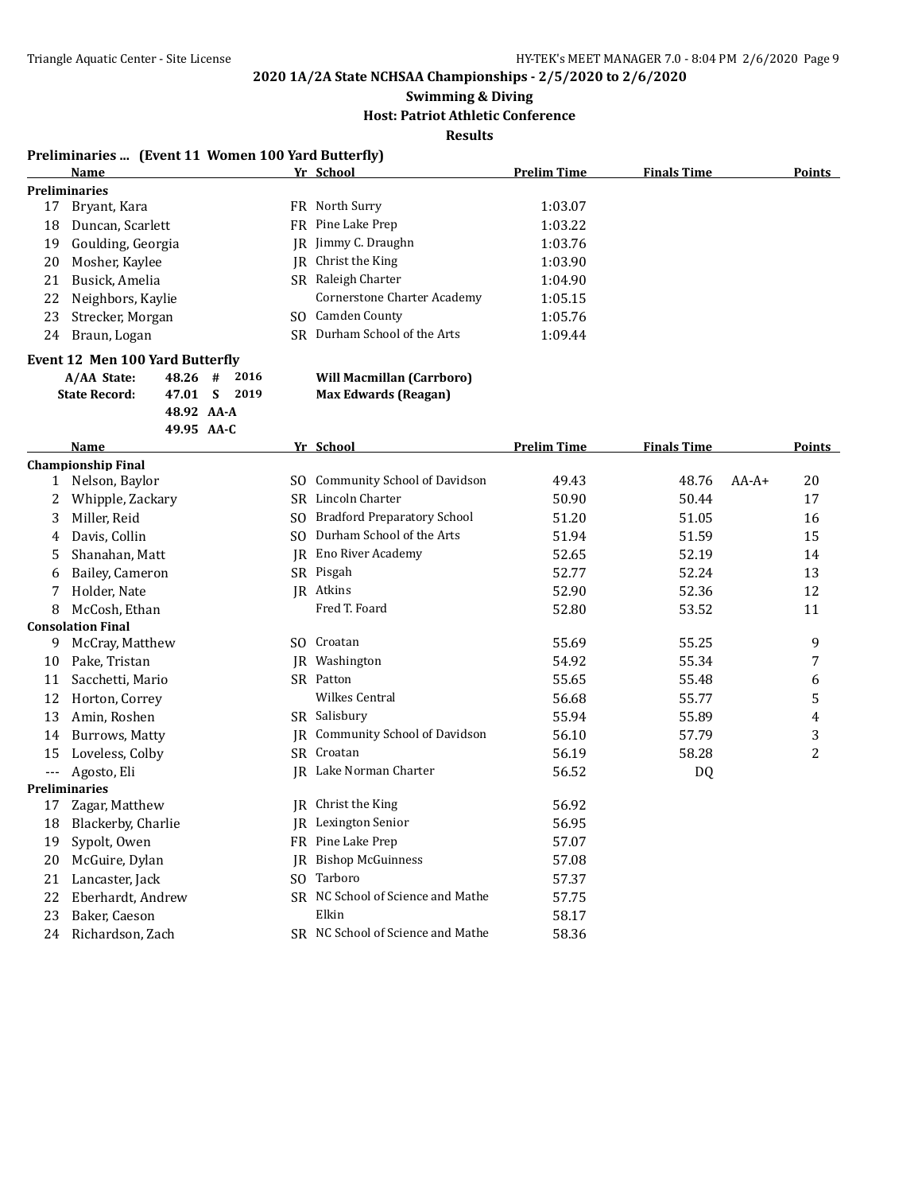**Swimming & Diving**

**Host: Patriot Athletic Conference**

**Results**

#### **Preliminaries ... (Event 11 Women 100 Yard Butterfly)**

|    | <b>Name</b>          |     | Yr School                    | <b>Prelim Time</b> | <b>Finals Time</b> | <b>Points</b> |
|----|----------------------|-----|------------------------------|--------------------|--------------------|---------------|
|    | <b>Preliminaries</b> |     |                              |                    |                    |               |
| 17 | Bryant, Kara         |     | FR North Surry               | 1:03.07            |                    |               |
| 18 | Duncan, Scarlett     |     | FR Pine Lake Prep            | 1:03.22            |                    |               |
| 19 | Goulding, Georgia    |     | IR Jimmy C. Draughn          | 1:03.76            |                    |               |
| 20 | Mosher, Kaylee       |     | IR Christ the King           | 1:03.90            |                    |               |
| 21 | Busick, Amelia       |     | SR Raleigh Charter           | 1:04.90            |                    |               |
| 22 | Neighbors, Kaylie    |     | Cornerstone Charter Academy  | 1:05.15            |                    |               |
| 23 | Strecker, Morgan     | SO. | Camden County                | 1:05.76            |                    |               |
| 24 | Braun, Logan         |     | SR Durham School of the Arts | 1:09.44            |                    |               |
|    |                      |     |                              |                    |                    |               |

#### **Event 12 Men 100 Yard Butterfly**

| A/AA State:          | $48.26$ # 2016 |  |  |
|----------------------|----------------|--|--|
| <b>State Record:</b> | 47.01 S 2019   |  |  |
|                      | 48.92 AA-A     |  |  |
|                      | 49.95 AA-C     |  |  |

#### **Will Macmillan (Carrboro) Max Edwards (Reagan)**

|       | <b>Name</b>               |     | Yr School                           | <b>Prelim Time</b> | <b>Finals Time</b> |         | <b>Points</b> |
|-------|---------------------------|-----|-------------------------------------|--------------------|--------------------|---------|---------------|
|       | <b>Championship Final</b> |     |                                     |                    |                    |         |               |
|       | Nelson, Baylor            | SO. | <b>Community School of Davidson</b> | 49.43              | 48.76              | $AA-A+$ | 20            |
| 2     | Whipple, Zackary          | SR. | Lincoln Charter                     | 50.90              | 50.44              |         | 17            |
| 3     | Miller, Reid              | SO. | <b>Bradford Preparatory School</b>  | 51.20              | 51.05              |         | 16            |
| 4     | Davis, Collin             | SO. | Durham School of the Arts           | 51.94              | 51.59              |         | 15            |
| 5     | Shanahan, Matt            | IR  | Eno River Academy                   | 52.65              | 52.19              |         | 14            |
| 6     | Bailey, Cameron           |     | SR Pisgah                           | 52.77              | 52.24              |         | 13            |
|       | Holder, Nate              |     | IR Atkins                           | 52.90              | 52.36              |         | 12            |
| 8     | McCosh, Ethan             |     | Fred T. Foard                       | 52.80              | 53.52              |         | 11            |
|       | <b>Consolation Final</b>  |     |                                     |                    |                    |         |               |
| 9     | McCray, Matthew           | SO. | Croatan                             | 55.69              | 55.25              |         | 9             |
| 10    | Pake, Tristan             | IR  | Washington                          | 54.92              | 55.34              |         | 7             |
| 11    | Sacchetti, Mario          |     | SR Patton                           | 55.65              | 55.48              |         | 6             |
| 12    | Horton, Correy            |     | <b>Wilkes Central</b>               | 56.68              | 55.77              |         | 5             |
| 13    | Amin, Roshen              |     | SR Salisbury                        | 55.94              | 55.89              |         | 4             |
| 14    | Burrows, Matty            | IR  | Community School of Davidson        | 56.10              | 57.79              |         | 3             |
| 15    | Loveless, Colby           |     | SR Croatan                          | 56.19              | 58.28              |         | 2             |
| $---$ | Agosto, Eli               |     | IR Lake Norman Charter              | 56.52              | DQ                 |         |               |
|       | Preliminaries             |     |                                     |                    |                    |         |               |
| 17    | Zagar, Matthew            | IR  | Christ the King                     | 56.92              |                    |         |               |
| 18    | Blackerby, Charlie        | IR  | Lexington Senior                    | 56.95              |                    |         |               |
| 19    | Sypolt, Owen              | FR  | Pine Lake Prep                      | 57.07              |                    |         |               |
| 20    | McGuire, Dylan            | IR  | <b>Bishop McGuinness</b>            | 57.08              |                    |         |               |
| 21    | Lancaster, Jack           | SO. | Tarboro                             | 57.37              |                    |         |               |
| 22    | Eberhardt, Andrew         |     | SR NC School of Science and Mathe   | 57.75              |                    |         |               |
| 23    | Baker, Caeson             |     | Elkin                               | 58.17              |                    |         |               |
| 24    | Richardson, Zach          |     | SR NC School of Science and Mathe   | 58.36              |                    |         |               |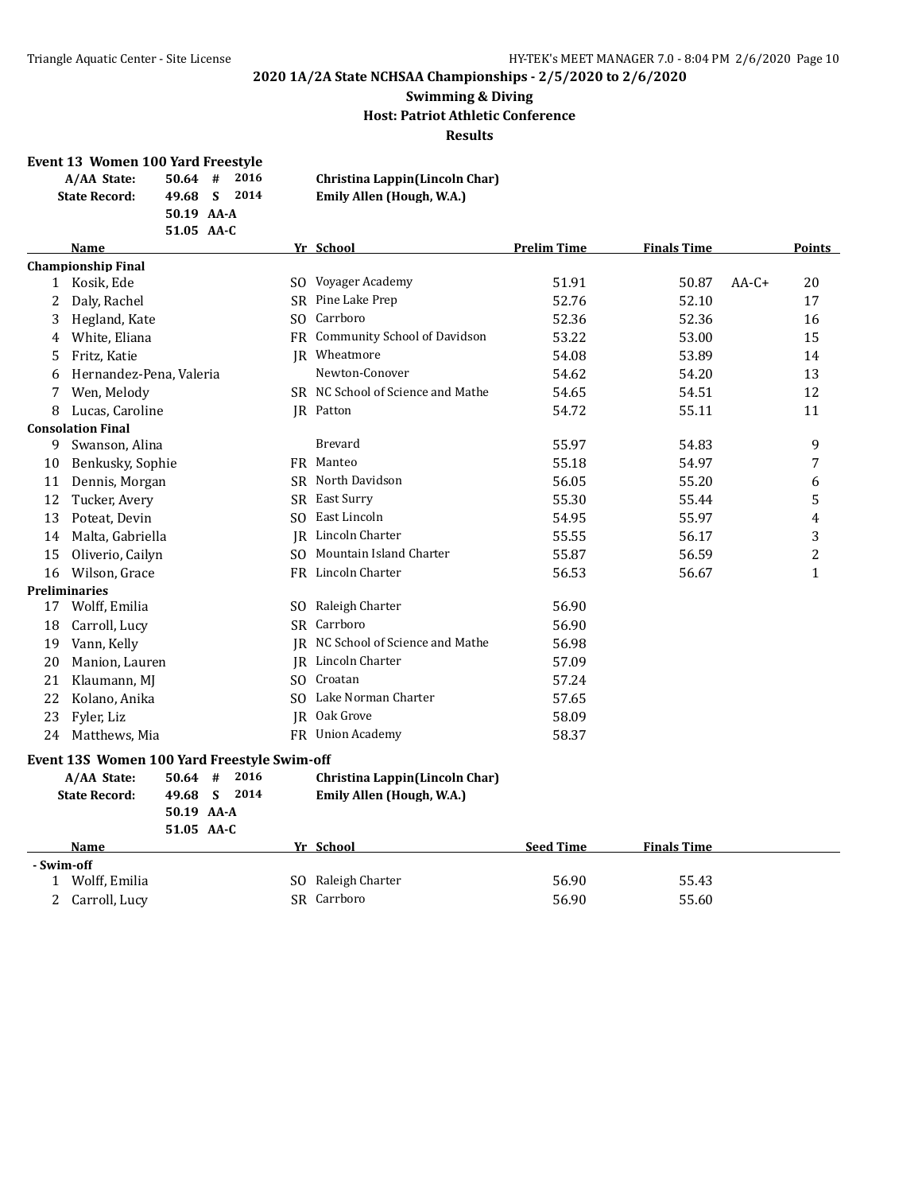#### **Swimming & Diving Host: Patriot Athletic Conference Results**

#### **Event 13 Women 100 Yard Freestyle**

| A/AA State:          | $50.64$ #  | 2016 | Christina Lappin(Lincoln Char) |
|----------------------|------------|------|--------------------------------|
| <b>State Record:</b> | 49.68 S    | 2014 | Emily Allen (Hough, W.A.)      |
|                      | 50.19 AA-A |      |                                |
|                      | 51.05 AA-C |      |                                |

#### **Name Yr School Prelim Time Finals Time Points Championship Final** 1 Kosik, Ede SO Voyager Academy 51.91 50.87 AA-C+ 20 2 Daly, Rachel SR Pine Lake Prep 52.76 52.10 52.10 17 3 Hegland, Kate 52.36 52.36 52.36 52.36 52.36 52.36 52.36 52.36 52.36 52.36 52.36 52.36 52.36 52.36 52.36 52.36 52.36 52.36 52.36 52.36 52.36 52.36 52.36 52.36 52.36 52.36 52.36 52.36 52.36 52.36 52.36 52.36 52.36 52.36 52 4 White, Eliana **FR** Community School of Davidson 53.22 53.00 53.00 5 Fritz, Katie JR Wheatmore 54.08 53.89 14 6 Hernandez-Pena, Valeria Newton-Conover 54.62 54.20 13 7 Wen, Melody SR NC School of Science and Mathe 54.65 54.51 54.51 12 8 Lucas, Caroline JR Patton 54.72 55.11 11 **Consolation Final** 9 Swanson, Alina Brevard 55.97 54.83 9 10 Benkusky, Sophie FR Manteo 55.18 54.97 7 11 Dennis, Morgan SR North Davidson 56.05 55.20 6 12 Tucker, Avery SR East Surry 55.30 55.44 5 13 Poteat, Devin Solution Solution Cast Lincoln 54.95 55.97 4 14 Malta, Gabriella **IR** Lincoln Charter 55.55 56.17 56.17 3 15 Oliverio, Cailyn **SO Mountain Island Charter** 55.87 56.59 56.59 2 16 Wilson, Grace **FR** Lincoln Charter 56.53 56.67 1 **Preliminaries** 17 Wolff, Emilia  $SO$  Raleigh Charter  $56.90$ 18 Carroll, Lucy SR Carrboro SR Carrollong S6.90 19 Vann, Kelly **JR NC School of Science and Mathe** 56.98 20 Manion, Lauren JR Lincoln Charter 57.09 21 Klaumann, MJ SO Croatan SO Croatan 57.24 22 Kolano, Anika SO Lake Norman Charter 57.65 23 Fyler, Liz JR Oak Grove 58.09 24 Matthews, Mia **FR Union Academy** 58.37 **Event 13S Women 100 Yard Freestyle Swim-off A/AA State: 50.64 # 2016 Christina Lappin(Lincoln Char) State Record: 49.68 S 2014 Emily Allen (Hough, W.A.) 50.19 AA-A 51.05 AA-C Name Seed Time Seed Time Finals Time - Swim-off** 1 Wolff, Emilia SO Raleigh Charter 56.90 55.43 2 Carroll, Lucy **SR Carrboro** SR Carrboro 56.90 55.60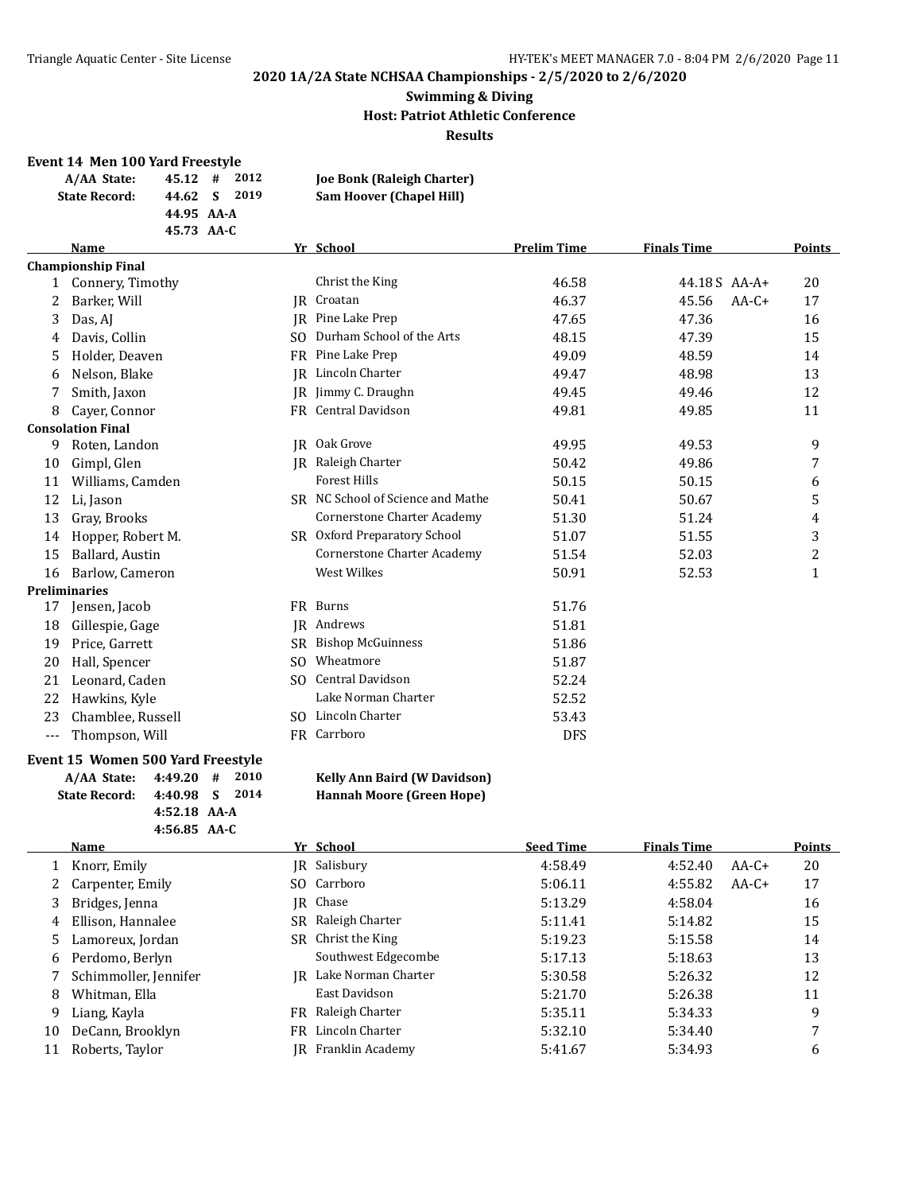#### **Swimming & Diving Host: Patriot Athletic Conference Results**

#### **Event 14 Men 100 Yard Freestyle**

| A/AA State:          | $45.12 \quad # \quad 2012$ |  | <b>Joe Bonk (Raleigh Charter)</b> |
|----------------------|----------------------------|--|-----------------------------------|
| <b>State Record:</b> | 44.62 S 2019               |  | <b>Sam Hoover (Chapel Hill)</b>   |
|                      | 44.95 AA-A                 |  |                                   |
|                      | 45.73 AA-C                 |  |                                   |

#### **Name Prelim Time Prelim Time Finals Time Points Championship Final**

|          | <b>Championship Final</b> |     |                                    |            |                  |              |
|----------|---------------------------|-----|------------------------------------|------------|------------------|--------------|
| 1        | Connery, Timothy          |     | Christ the King                    | 46.58      | 44.18S AA-A+     | 20           |
| 2        | Barker, Will              | IR  | Croatan                            | 46.37      | 45.56<br>$AA-C+$ | 17           |
| 3        | Das, AJ                   | IR  | Pine Lake Prep                     | 47.65      | 47.36            | 16           |
| 4        | Davis, Collin             | SO. | Durham School of the Arts          | 48.15      | 47.39            | 15           |
| 5        | Holder, Deaven            | FR. | Pine Lake Prep                     | 49.09      | 48.59            | 14           |
| 6        | Nelson, Blake             | IR  | Lincoln Charter                    | 49.47      | 48.98            | 13           |
| 7        | Smith, Jaxon              | IR  | Jimmy C. Draughn                   | 49.45      | 49.46            | 12           |
| 8        | Cayer, Connor             |     | FR Central Davidson                | 49.81      | 49.85            | 11           |
|          | <b>Consolation Final</b>  |     |                                    |            |                  |              |
| 9        | Roten, Landon             | IR  | Oak Grove                          | 49.95      | 49.53            | 9            |
| 10       | Gimpl, Glen               |     | IR Raleigh Charter                 | 50.42      | 49.86            | 7            |
| 11       | Williams, Camden          |     | <b>Forest Hills</b>                | 50.15      | 50.15            | 6            |
| 12       | Li, Jason                 |     | SR NC School of Science and Mathe  | 50.41      | 50.67            | 5            |
| 13       | Gray, Brooks              |     | <b>Cornerstone Charter Academy</b> | 51.30      | 51.24            | 4            |
| 14       | Hopper, Robert M.         |     | SR Oxford Preparatory School       | 51.07      | 51.55            | 3            |
| 15       | Ballard, Austin           |     | Cornerstone Charter Academy        | 51.54      | 52.03            | 2            |
| 16       | Barlow, Cameron           |     | West Wilkes                        | 50.91      | 52.53            | $\mathbf{1}$ |
|          | <b>Preliminaries</b>      |     |                                    |            |                  |              |
| 17       | Jensen, Jacob             |     | FR Burns                           | 51.76      |                  |              |
| 18       | Gillespie, Gage           | IR  | Andrews                            | 51.81      |                  |              |
| 19       | Price, Garrett            | SR. | <b>Bishop McGuinness</b>           | 51.86      |                  |              |
| 20       | Hall, Spencer             | SO. | Wheatmore                          | 51.87      |                  |              |
| 21       | Leonard, Caden            | SO. | <b>Central Davidson</b>            | 52.24      |                  |              |
| 22       | Hawkins, Kyle             |     | Lake Norman Charter                | 52.52      |                  |              |
| 23       | Chamblee, Russell         | SO. | Lincoln Charter                    | 53.43      |                  |              |
| $\cdots$ | Thompson, Will            |     | FR Carrboro                        | <b>DFS</b> |                  |              |
|          |                           |     |                                    |            |                  |              |

#### **Event 15 Women 500 Yard Freestyle**

| A/AA State: 4:49.20 # 2010   |                |  |
|------------------------------|----------------|--|
| State Record: 4:40.98 S 2014 |                |  |
|                              | $4:52.18$ AA-A |  |
|                              | $4:56.85$ AA-C |  |

#### **Kelly Ann Baird (W Davidson) State Record: 4:40.98 S 2014 Hannah Moore (Green Hope)**

|    | Name                  |    | Yr School           | <b>Seed Time</b> | <b>Finals Time</b> |         | <b>Points</b> |
|----|-----------------------|----|---------------------|------------------|--------------------|---------|---------------|
|    | 1 Knorr, Emily        |    | JR Salisbury        | 4:58.49          | 4:52.40            | $AA-C+$ | 20            |
| 2  | Carpenter, Emily      |    | SO Carrboro         | 5:06.11          | 4:55.82            | $AA-C+$ | 17            |
| 3  | Bridges, Jenna        |    | JR Chase            | 5:13.29          | 4:58.04            |         | 16            |
| 4  | Ellison, Hannalee     | SR | Raleigh Charter     | 5:11.41          | 5:14.82            |         | 15            |
| 5. | Lamoreux, Jordan      |    | SR Christ the King  | 5:19.23          | 5:15.58            |         | 14            |
|    | 6 Perdomo, Berlyn     |    | Southwest Edgecombe | 5:17.13          | 5:18.63            |         | 13            |
|    | Schimmoller, Jennifer | IR | Lake Norman Charter | 5:30.58          | 5:26.32            |         | 12            |
| 8  | Whitman, Ella         |    | East Davidson       | 5:21.70          | 5:26.38            |         | 11            |
| 9  | Liang, Kayla          | FR | Raleigh Charter     | 5:35.11          | 5:34.33            |         | 9             |
| 10 | DeCann, Brooklyn      | FR | Lincoln Charter     | 5:32.10          | 5:34.40            |         | 7             |
|    | Roberts, Taylor       | IR | Franklin Academy    | 5:41.67          | 5:34.93            |         | 6             |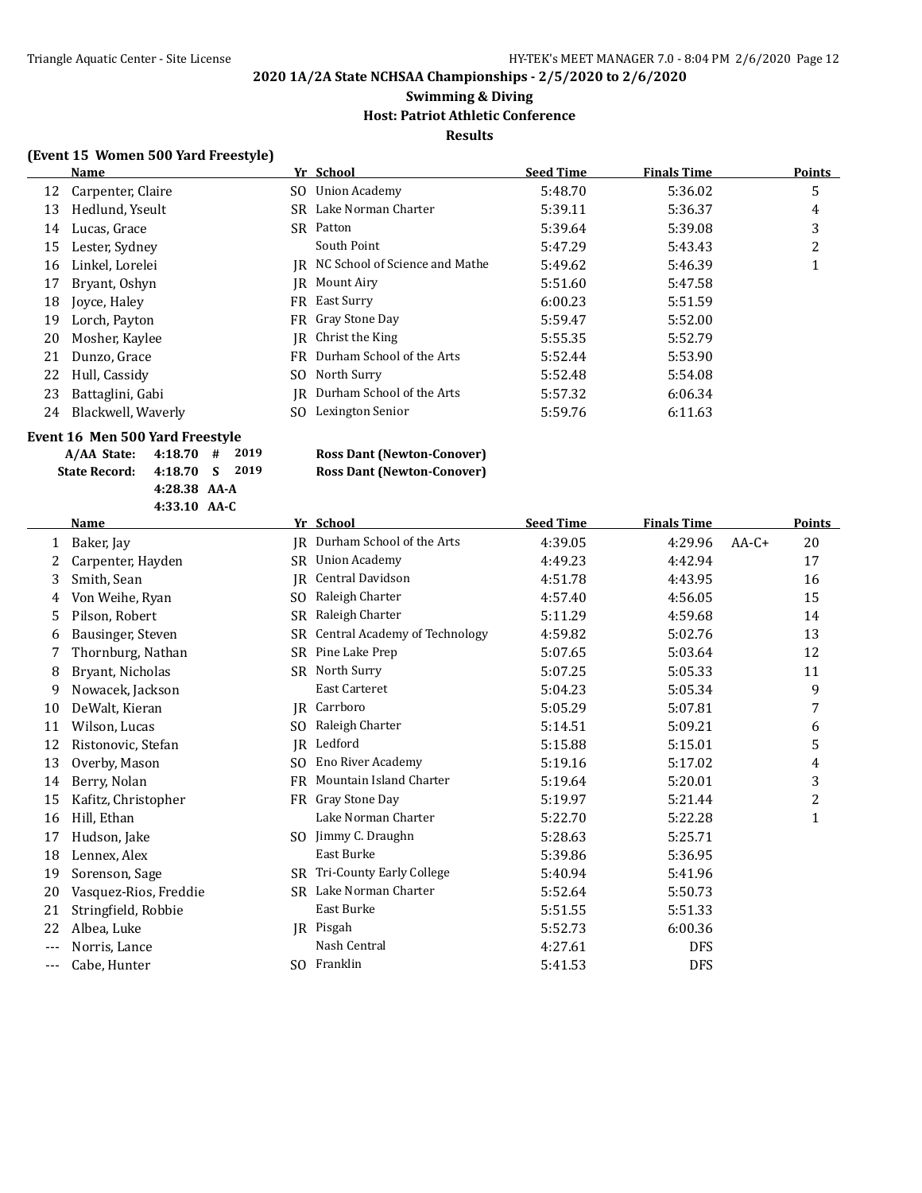#### **Swimming & Diving Host: Patriot Athletic Conference**

**Results**

#### **(Event 15 Women 500 Yard Freestyle)**

|    | Name               |     | Yr School                         | <b>Seed Time</b> | <b>Finals Time</b> | <b>Points</b> |
|----|--------------------|-----|-----------------------------------|------------------|--------------------|---------------|
| 12 | Carpenter, Claire  |     | SO Union Academy                  | 5:48.70          | 5:36.02            | 5             |
| 13 | Hedlund, Yseult    |     | SR Lake Norman Charter            | 5:39.11          | 5:36.37            | 4             |
| 14 | Lucas, Grace       | SR. | Patton                            | 5:39.64          | 5:39.08            | 3             |
| 15 | Lester, Sydney     |     | South Point                       | 5:47.29          | 5:43.43            | 2             |
| 16 | Linkel, Lorelei    |     | IR NC School of Science and Mathe | 5:49.62          | 5:46.39            |               |
| 17 | Bryant, Oshyn      | IR  | Mount Airy                        | 5:51.60          | 5:47.58            |               |
| 18 | Joyce, Haley       |     | FR East Surry                     | 6:00.23          | 5:51.59            |               |
| 19 | Lorch, Payton      |     | FR Gray Stone Day                 | 5:59.47          | 5:52.00            |               |
| 20 | Mosher, Kaylee     |     | IR Christ the King                | 5:55.35          | 5:52.79            |               |
| 21 | Dunzo, Grace       |     | FR Durham School of the Arts      | 5:52.44          | 5:53.90            |               |
| 22 | Hull, Cassidy      |     | SO North Surry                    | 5:52.48          | 5:54.08            |               |
| 23 | Battaglini, Gabi   |     | IR Durham School of the Arts      | 5:57.32          | 6:06.34            |               |
| 24 | Blackwell, Waverly | SO. | Lexington Senior                  | 5:59.76          | 6:11.63            |               |

#### **Event 16 Men 500 Yard Freestyle**

| A/AA State: 4:18.70 # 2019   |                |  |  |
|------------------------------|----------------|--|--|
| State Record: 4:18.70 S 2019 |                |  |  |
|                              | $4:28.38$ AA-A |  |  |
|                              | $4:33.10$ AA-C |  |  |
|                              |                |  |  |

#### $Ross$  Dant (Newton-Conover) **State Record: 4:18.70 S 2019 Ross Dant (Newton-Conover)**

|       | <b>Name</b>           |                | Yr School                            | <b>Seed Time</b> | <b>Finals Time</b> |         | Points         |
|-------|-----------------------|----------------|--------------------------------------|------------------|--------------------|---------|----------------|
| 1     | Baker, Jay            | IR             | Durham School of the Arts            | 4:39.05          | 4:29.96            | $AA-C+$ | 20             |
| 2     | Carpenter, Hayden     | SR.            | <b>Union Academy</b>                 | 4:49.23          | 4:42.94            |         | 17             |
| 3     | Smith, Sean           | IR             | Central Davidson                     | 4:51.78          | 4:43.95            |         | 16             |
| 4     | Von Weihe, Ryan       | SO.            | Raleigh Charter                      | 4:57.40          | 4:56.05            |         | 15             |
| 5     | Pilson, Robert        | <b>SR</b>      | Raleigh Charter                      | 5:11.29          | 4:59.68            |         | 14             |
| 6     | Bausinger, Steven     | SR.            | <b>Central Academy of Technology</b> | 4:59.82          | 5:02.76            |         | 13             |
|       | Thornburg, Nathan     | <b>SR</b>      | Pine Lake Prep                       | 5:07.65          | 5:03.64            |         | 12             |
| 8     | Bryant, Nicholas      | <b>SR</b>      | North Surry                          | 5:07.25          | 5:05.33            |         | 11             |
| 9     | Nowacek, Jackson      |                | East Carteret                        | 5:04.23          | 5:05.34            |         | 9              |
| 10    | DeWalt, Kieran        | IR             | Carrboro                             | 5:05.29          | 5:07.81            |         | 7              |
| 11    | Wilson, Lucas         | SO.            | Raleigh Charter                      | 5:14.51          | 5:09.21            |         | 6              |
| 12    | Ristonovic, Stefan    | IR             | Ledford                              | 5:15.88          | 5:15.01            |         | 5              |
| 13    | Overby, Mason         | S <sub>O</sub> | <b>Eno River Academy</b>             | 5:19.16          | 5:17.02            |         | 4              |
| 14    | Berry, Nolan          | FR             | Mountain Island Charter              | 5:19.64          | 5:20.01            |         | 3              |
| 15    | Kafitz, Christopher   | FR             | Gray Stone Day                       | 5:19.97          | 5:21.44            |         | $\overline{c}$ |
| 16    | Hill, Ethan           |                | Lake Norman Charter                  | 5:22.70          | 5:22.28            |         | $\mathbf{1}$   |
| 17    | Hudson, Jake          | SO.            | Jimmy C. Draughn                     | 5:28.63          | 5:25.71            |         |                |
| 18    | Lennex, Alex          |                | East Burke                           | 5:39.86          | 5:36.95            |         |                |
| 19    | Sorenson, Sage        | SR.            | Tri-County Early College             | 5:40.94          | 5:41.96            |         |                |
| 20    | Vasquez-Rios, Freddie |                | SR Lake Norman Charter               | 5:52.64          | 5:50.73            |         |                |
| 21    | Stringfield, Robbie   |                | East Burke                           | 5:51.55          | 5:51.33            |         |                |
| 22    | Albea, Luke           |                | JR Pisgah                            | 5:52.73          | 6:00.36            |         |                |
| $---$ | Norris, Lance         |                | Nash Central                         | 4:27.61          | <b>DFS</b>         |         |                |
| $---$ | Cabe, Hunter          |                | SO Franklin                          | 5:41.53          | <b>DFS</b>         |         |                |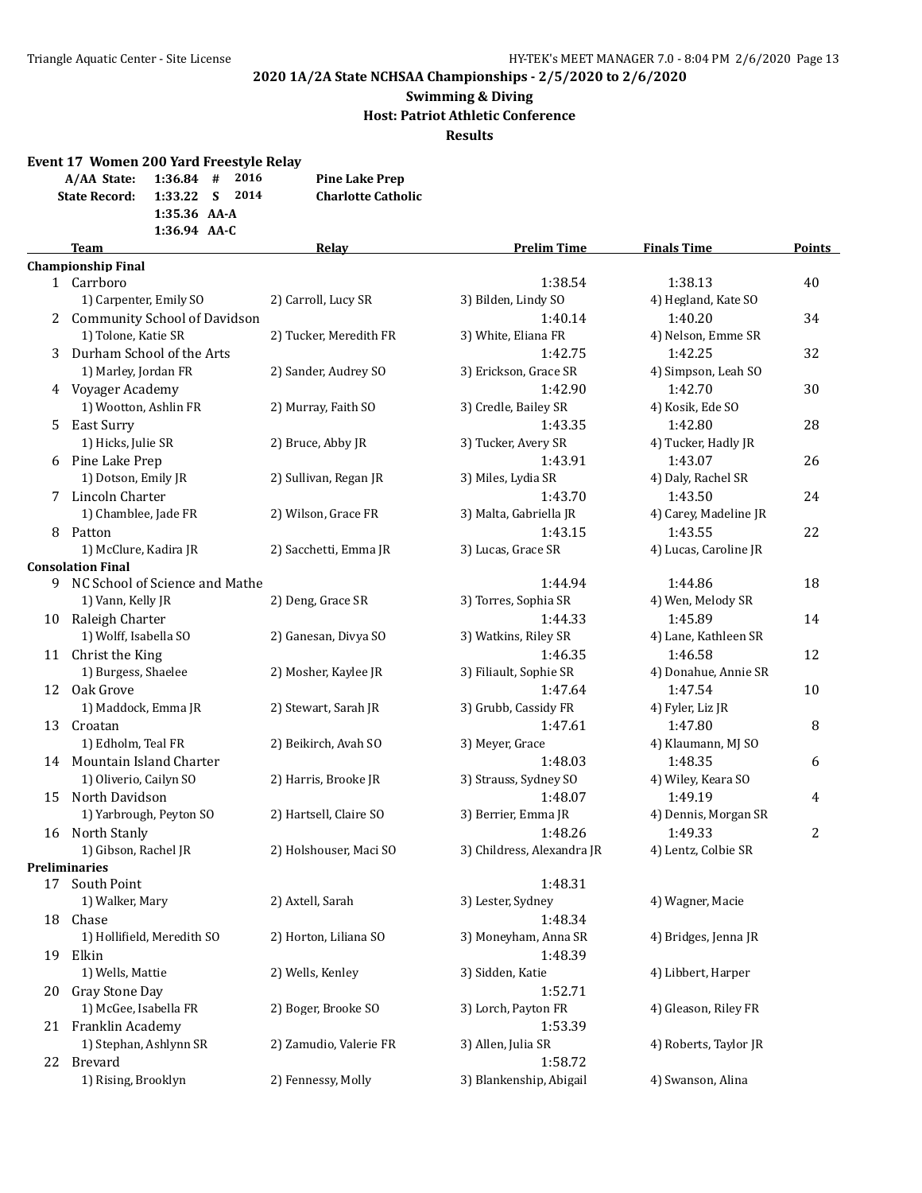# **Swimming & Diving Host: Patriot Athletic Conference**

**Results**

| Event 17 Women 200 Yard Freestyle Relay |                |  |                           |
|-----------------------------------------|----------------|--|---------------------------|
| $A/AA$ State: 1:36.84 # 2016            |                |  | <b>Pine Lake Prep</b>     |
| State Record: 1:33.22 S 2014            |                |  | <b>Charlotte Catholic</b> |
|                                         | 1:35.36 AA-A   |  |                           |
|                                         | $1:36.94$ AA-C |  |                           |

|    | <b>Team</b>                                                  | <b>Relay</b>           | <b>Prelim Time</b>         | <b>Finals Time</b>    | <b>Points</b> |
|----|--------------------------------------------------------------|------------------------|----------------------------|-----------------------|---------------|
|    | <b>Championship Final</b>                                    |                        |                            |                       |               |
|    | 1 Carrboro                                                   |                        | 1:38.54                    | 1:38.13               | 40            |
|    | 1) Carpenter, Emily SO                                       | 2) Carroll, Lucy SR    | 3) Bilden, Lindy SO        | 4) Hegland, Kate SO   |               |
|    | 2 Community School of Davidson                               |                        | 1:40.14                    | 1:40.20               | 34            |
|    | 1) Tolone, Katie SR                                          | 2) Tucker, Meredith FR | 3) White, Eliana FR        | 4) Nelson, Emme SR    |               |
| 3  | Durham School of the Arts                                    |                        | 1:42.75                    | 1:42.25               | 32            |
|    | 1) Marley, Jordan FR                                         | 2) Sander, Audrey SO   | 3) Erickson, Grace SR      | 4) Simpson, Leah SO   |               |
|    | 4 Voyager Academy                                            |                        | 1:42.90                    | 1:42.70               | 30            |
|    | 1) Wootton, Ashlin FR                                        | 2) Murray, Faith SO    | 3) Credle, Bailey SR       | 4) Kosik, Ede SO      |               |
|    | 5 East Surry                                                 |                        | 1:43.35                    | 1:42.80               | 28            |
|    | 1) Hicks, Julie SR                                           | 2) Bruce, Abby JR      | 3) Tucker, Avery SR        | 4) Tucker, Hadly JR   |               |
|    | 6 Pine Lake Prep                                             |                        | 1:43.91                    | 1:43.07               | 26            |
|    | 1) Dotson, Emily JR                                          | 2) Sullivan, Regan JR  | 3) Miles, Lydia SR         | 4) Daly, Rachel SR    |               |
|    | 7 Lincoln Charter                                            |                        | 1:43.70                    | 1:43.50               | 24            |
|    | 1) Chamblee, Jade FR                                         | 2) Wilson, Grace FR    | 3) Malta, Gabriella JR     | 4) Carey, Madeline JR |               |
|    |                                                              |                        |                            | 1:43.55               | 22            |
|    | 8 Patton                                                     |                        | 1:43.15                    |                       |               |
|    | 1) McClure, Kadira JR                                        | 2) Sacchetti, Emma JR  | 3) Lucas, Grace SR         | 4) Lucas, Caroline JR |               |
|    | <b>Consolation Final</b><br>9 NC School of Science and Mathe |                        | 1:44.94                    | 1:44.86               | 18            |
|    |                                                              | 2) Deng, Grace SR      | 3) Torres, Sophia SR       | 4) Wen, Melody SR     |               |
|    | 1) Vann, Kelly JR                                            |                        | 1:44.33                    | 1:45.89               |               |
|    | 10 Raleigh Charter                                           |                        |                            |                       | 14            |
|    | 1) Wolff, Isabella SO                                        | 2) Ganesan, Divya SO   | 3) Watkins, Riley SR       | 4) Lane, Kathleen SR  |               |
|    | 11 Christ the King                                           |                        | 1:46.35                    | 1:46.58               | 12            |
|    | 1) Burgess, Shaelee                                          | 2) Mosher, Kaylee JR   | 3) Filiault, Sophie SR     | 4) Donahue, Annie SR  |               |
|    | 12 Oak Grove                                                 |                        | 1:47.64                    | 1:47.54               | 10            |
|    | 1) Maddock, Emma JR                                          | 2) Stewart, Sarah JR   | 3) Grubb, Cassidy FR       | 4) Fyler, Liz JR      |               |
| 13 | Croatan                                                      |                        | 1:47.61                    | 1:47.80               | 8             |
|    | 1) Edholm, Teal FR                                           | 2) Beikirch, Avah SO   | 3) Meyer, Grace            | 4) Klaumann, MJ SO    |               |
|    | 14 Mountain Island Charter                                   |                        | 1:48.03                    | 1:48.35               | 6             |
|    | 1) Oliverio, Cailyn SO                                       | 2) Harris, Brooke JR   | 3) Strauss, Sydney SO      | 4) Wiley, Keara SO    |               |
| 15 | North Davidson                                               |                        | 1:48.07                    | 1:49.19               | 4             |
|    | 1) Yarbrough, Peyton SO                                      | 2) Hartsell, Claire SO | 3) Berrier, Emma JR        | 4) Dennis, Morgan SR  |               |
|    | 16 North Stanly                                              |                        | 1:48.26                    | 1:49.33               | 2             |
|    | 1) Gibson, Rachel JR                                         | 2) Holshouser, Maci SO | 3) Childress, Alexandra JR | 4) Lentz, Colbie SR   |               |
|    | <b>Preliminaries</b>                                         |                        |                            |                       |               |
|    | 17 South Point                                               |                        | 1:48.31                    |                       |               |
|    | 1) Walker, Mary                                              | 2) Axtell, Sarah       | 3) Lester, Sydney          | 4) Wagner, Macie      |               |
|    | 18 Chase                                                     |                        | 1:48.34                    |                       |               |
|    | 1) Hollifield, Meredith SO                                   | 2) Horton, Liliana SO  | 3) Moneyham, Anna SR       | 4) Bridges, Jenna JR  |               |
| 19 | Elkin                                                        |                        | 1:48.39                    |                       |               |
|    | 1) Wells, Mattie                                             | 2) Wells, Kenley       | 3) Sidden, Katie           | 4) Libbert, Harper    |               |
| 20 | Gray Stone Day                                               |                        | 1:52.71                    |                       |               |
|    | 1) McGee, Isabella FR                                        | 2) Boger, Brooke SO    | 3) Lorch, Payton FR        | 4) Gleason, Riley FR  |               |
| 21 | Franklin Academy                                             |                        | 1:53.39                    |                       |               |
|    | 1) Stephan, Ashlynn SR                                       | 2) Zamudio, Valerie FR | 3) Allen, Julia SR         | 4) Roberts, Taylor JR |               |
| 22 | Brevard                                                      |                        | 1:58.72                    |                       |               |
|    | 1) Rising, Brooklyn                                          | 2) Fennessy, Molly     | 3) Blankenship, Abigail    | 4) Swanson, Alina     |               |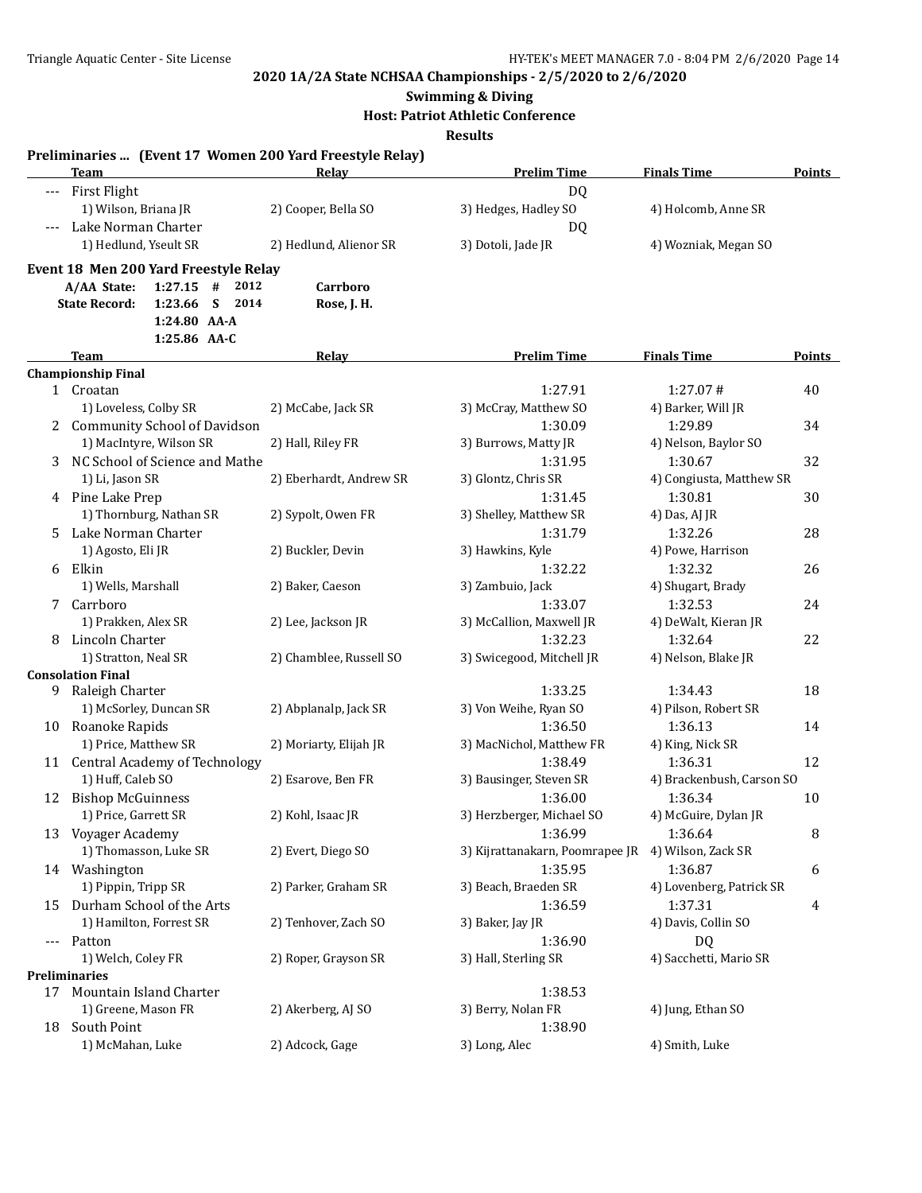**Swimming & Diving**

#### **Host: Patriot Athletic Conference**

**Results**

|     | Preliminaries  (Event 17 Women 200 Yard Freestyle Relay)<br>Team | Relav                   | <b>Prelim Time</b>                                 | <b>Finals Time</b>        | <b>Points</b> |
|-----|------------------------------------------------------------------|-------------------------|----------------------------------------------------|---------------------------|---------------|
|     |                                                                  |                         |                                                    |                           |               |
|     | --- First Flight                                                 |                         | DQ                                                 |                           |               |
|     | 1) Wilson, Briana JR<br>Lake Norman Charter                      | 2) Cooper, Bella SO     | 3) Hedges, Hadley SO                               | 4) Holcomb, Anne SR       |               |
|     | 1) Hedlund, Yseult SR                                            |                         | DQ                                                 |                           |               |
|     |                                                                  | 2) Hedlund, Alienor SR  | 3) Dotoli, Jade JR                                 | 4) Wozniak, Megan SO      |               |
|     | Event 18 Men 200 Yard Freestyle Relay                            |                         |                                                    |                           |               |
|     | A/AA State:<br>$1:27.15$ #<br>2012                               | Carrboro                |                                                    |                           |               |
|     | <b>State Record:</b><br>1:23.66<br>S<br>2014<br>1:24.80 AA-A     | Rose, J. H.             |                                                    |                           |               |
|     | 1:25.86 AA-C                                                     |                         |                                                    |                           |               |
|     | Team                                                             | <b>Relay</b>            | <b>Prelim Time</b>                                 | <b>Finals Time</b>        | Points        |
|     | <b>Championship Final</b>                                        |                         |                                                    |                           |               |
|     | 1 Croatan                                                        |                         | 1:27.91                                            | 1:27.07#                  | 40            |
|     | 1) Loveless, Colby SR                                            | 2) McCabe, Jack SR      | 3) McCray, Matthew SO                              | 4) Barker, Will JR        |               |
|     | 2 Community School of Davidson                                   |                         | 1:30.09                                            | 1:29.89                   | 34            |
|     | 1) MacIntyre, Wilson SR                                          | 2) Hall, Riley FR       | 3) Burrows, Matty JR                               | 4) Nelson, Baylor SO      |               |
|     | NC School of Science and Mathe                                   |                         | 1:31.95                                            | 1:30.67                   | 32            |
|     | 1) Li, Jason SR                                                  | 2) Eberhardt, Andrew SR | 3) Glontz, Chris SR                                | 4) Congiusta, Matthew SR  |               |
|     | 4 Pine Lake Prep                                                 |                         | 1:31.45                                            | 1:30.81                   | 30            |
|     | 1) Thornburg, Nathan SR                                          | 2) Sypolt, Owen FR      | 3) Shelley, Matthew SR                             | 4) Das, AJ JR             |               |
|     | 5 Lake Norman Charter                                            |                         | 1:31.79                                            | 1:32.26                   | 28            |
|     | 1) Agosto, Eli JR                                                | 2) Buckler, Devin       | 3) Hawkins, Kyle                                   | 4) Powe, Harrison         |               |
|     | 6 Elkin                                                          |                         | 1:32.22                                            | 1:32.32                   | 26            |
|     | 1) Wells, Marshall                                               | 2) Baker, Caeson        | 3) Zambuio, Jack                                   | 4) Shugart, Brady         |               |
| 7   | Carrboro                                                         |                         | 1:33.07                                            | 1:32.53                   | 24            |
|     | 1) Prakken, Alex SR                                              | 2) Lee, Jackson JR      | 3) McCallion, Maxwell JR                           | 4) DeWalt, Kieran JR      |               |
|     | 8 Lincoln Charter                                                |                         | 1:32.23                                            | 1:32.64                   | 22            |
|     | 1) Stratton, Neal SR                                             | 2) Chamblee, Russell SO | 3) Swicegood, Mitchell JR                          | 4) Nelson, Blake JR       |               |
|     | <b>Consolation Final</b>                                         |                         |                                                    |                           |               |
|     | 9 Raleigh Charter                                                |                         | 1:33.25                                            | 1:34.43                   | 18            |
|     | 1) McSorley, Duncan SR                                           | 2) Abplanalp, Jack SR   | 3) Von Weihe, Ryan SO                              | 4) Pilson, Robert SR      |               |
|     | 10 Roanoke Rapids                                                |                         | 1:36.50                                            | 1:36.13                   | 14            |
|     | 1) Price, Matthew SR                                             | 2) Moriarty, Elijah JR  | 3) MacNichol, Matthew FR                           | 4) King, Nick SR          |               |
|     | 11 Central Academy of Technology                                 |                         | 1:38.49                                            | 1:36.31                   | 12            |
|     | 1) Huff, Caleb SO                                                | 2) Esarove, Ben FR      | 3) Bausinger, Steven SR                            | 4) Brackenbush, Carson SO |               |
|     | 12 Bishop McGuinness                                             |                         | 1:36.00                                            | 1:36.34                   | 10            |
|     | 1) Price, Garrett SR                                             | 2) Kohl, Isaac JR       | 3) Herzberger, Michael SO                          | 4) McGuire, Dylan JR      |               |
|     | 13 Voyager Academy                                               |                         | 1:36.99                                            | 1:36.64                   | 8             |
|     | 1) Thomasson, Luke SR                                            | 2) Evert, Diego SO      | 3) Kijrattanakarn, Poomrapee JR 4) Wilson, Zack SR |                           |               |
|     | 14 Washington                                                    |                         | 1:35.95                                            | 1:36.87                   | 6             |
|     | 1) Pippin, Tripp SR                                              | 2) Parker, Graham SR    | 3) Beach, Braeden SR                               | 4) Lovenberg, Patrick SR  |               |
| 15  | Durham School of the Arts                                        |                         | 1:36.59                                            | 1:37.31                   | 4             |
|     | 1) Hamilton, Forrest SR                                          | 2) Tenhover, Zach SO    | 3) Baker, Jay JR                                   | 4) Davis, Collin SO       |               |
| --- | Patton                                                           |                         | 1:36.90                                            | DQ                        |               |
|     | 1) Welch, Coley FR                                               | 2) Roper, Grayson SR    | 3) Hall, Sterling SR                               | 4) Sacchetti, Mario SR    |               |
|     | <b>Preliminaries</b>                                             |                         |                                                    |                           |               |
|     | 17 Mountain Island Charter                                       |                         | 1:38.53                                            |                           |               |
|     | 1) Greene, Mason FR                                              | 2) Akerberg, AJ SO      | 3) Berry, Nolan FR                                 | 4) Jung, Ethan SO         |               |
| 18  | South Point                                                      |                         | 1:38.90                                            |                           |               |
|     | 1) McMahan, Luke                                                 | 2) Adcock, Gage         | 3) Long, Alec                                      | 4) Smith, Luke            |               |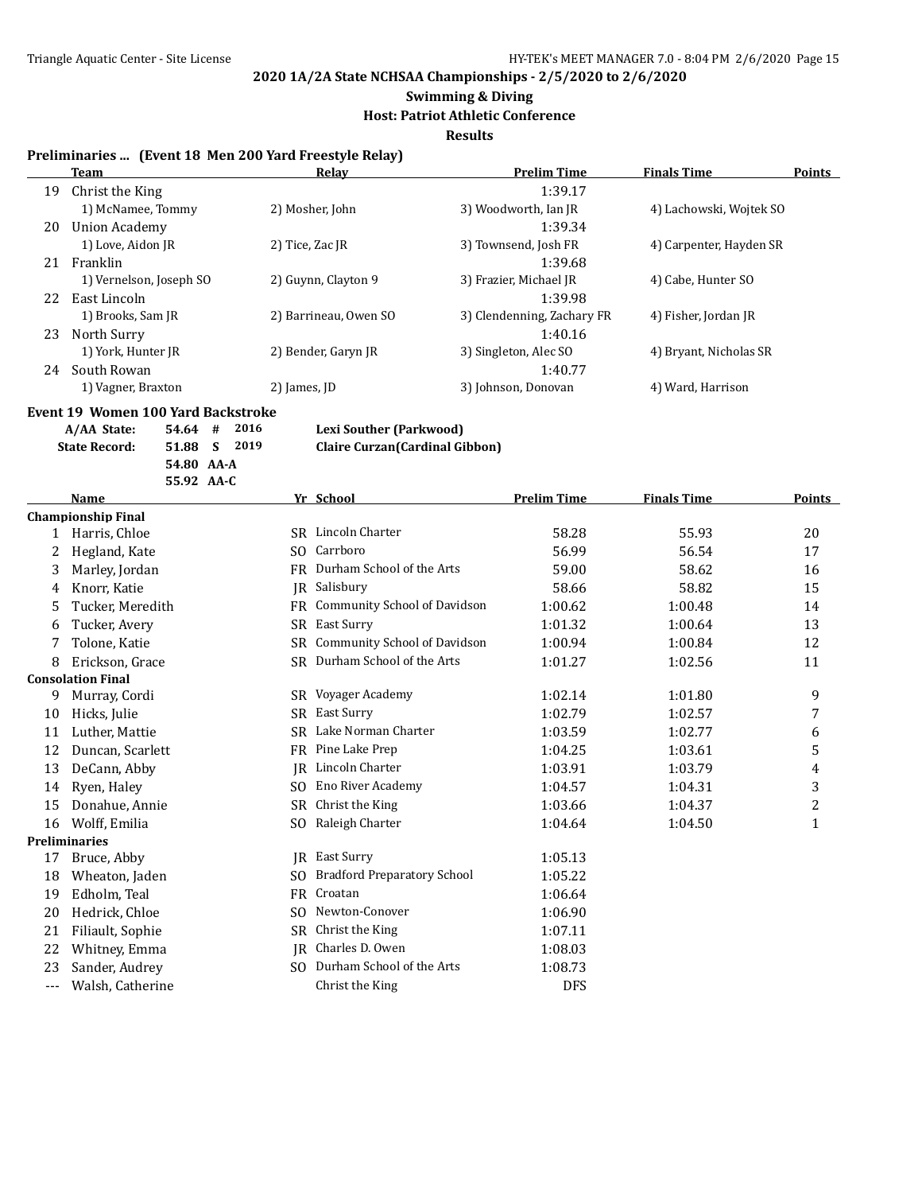# **Swimming & Diving**

# **Host: Patriot Athletic Conference**

**Results**

#### **Preliminaries ... (Event 18 Men 200 Yard Freestyle Relay)**

|    | Team                    | Relay                 | <b>Prelim Time</b>         | <b>Finals Time</b>      | <b>Points</b> |
|----|-------------------------|-----------------------|----------------------------|-------------------------|---------------|
| 19 | Christ the King         |                       | 1:39.17                    |                         |               |
|    | 1) McNamee, Tommy       | 2) Mosher, John       | 3) Woodworth, Ian JR       | 4) Lachowski, Wojtek SO |               |
| 20 | Union Academy           |                       | 1:39.34                    |                         |               |
|    | 1) Love, Aidon JR       | 2) Tice, Zac JR       | 3) Townsend, Josh FR       | 4) Carpenter, Hayden SR |               |
| 21 | Franklin                |                       | 1:39.68                    |                         |               |
|    | 1) Vernelson, Joseph SO | 2) Guynn, Clayton 9   | 3) Frazier, Michael JR     | 4) Cabe, Hunter SO      |               |
| 22 | East Lincoln            |                       | 1:39.98                    |                         |               |
|    | 1) Brooks, Sam JR       | 2) Barrineau, Owen SO | 3) Clendenning, Zachary FR | 4) Fisher, Jordan JR    |               |
| 23 | North Surry             |                       | 1:40.16                    |                         |               |
|    | 1) York, Hunter JR      | 2) Bender, Garyn JR   | 3) Singleton, Alec SO      | 4) Bryant, Nicholas SR  |               |
| 24 | South Rowan             |                       | 1:40.77                    |                         |               |
|    | 1) Vagner, Braxton      | 2) James, JD          | 3) Johnson, Donovan        | 4) Ward, Harrison       |               |

#### **Event 19 Women 100 Yard Backstroke**

**A/AA State: 54.64 # 2016 Lexi Souther (Parkwood) State Record: 51.88 S 2019 Claire Curzan(Cardinal Gibbon) 54.80 AA-A 55.92 AA-C**

|          | Name                      |           | Yr School                           | <b>Prelim Time</b> | <b>Finals Time</b> | Points |
|----------|---------------------------|-----------|-------------------------------------|--------------------|--------------------|--------|
|          | <b>Championship Final</b> |           |                                     |                    |                    |        |
|          | Harris, Chloe             | SR.       | Lincoln Charter                     | 58.28              | 55.93              | 20     |
| 2        | Hegland, Kate             | SO.       | Carrboro                            | 56.99              | 56.54              | 17     |
| 3        | Marley, Jordan            | FR        | Durham School of the Arts           | 59.00              | 58.62              | 16     |
| 4        | Knorr, Katie              | IR.       | Salisbury                           | 58.66              | 58.82              | 15     |
| 5        | Tucker, Meredith          | FR        | Community School of Davidson        | 1:00.62            | 1:00.48            | 14     |
| 6        | Tucker, Avery             | <b>SR</b> | East Surry                          | 1:01.32            | 1:00.64            | 13     |
|          | Tolone, Katie             | SR.       | <b>Community School of Davidson</b> | 1:00.94            | 1:00.84            | 12     |
| 8        | Erickson, Grace           | SR        | Durham School of the Arts           | 1:01.27            | 1:02.56            | 11     |
|          | <b>Consolation Final</b>  |           |                                     |                    |                    |        |
| 9        | Murray, Cordi             | SR.       | Voyager Academy                     | 1:02.14            | 1:01.80            | 9      |
| 10       | Hicks, Julie              | SR.       | East Surry                          | 1:02.79            | 1:02.57            | 7      |
| 11       | Luther, Mattie            | SR.       | Lake Norman Charter                 | 1:03.59            | 1:02.77            | 6      |
| 12       | Duncan, Scarlett          | FR        | Pine Lake Prep                      | 1:04.25            | 1:03.61            | 5      |
| 13       | DeCann, Abby              | IR        | Lincoln Charter                     | 1:03.91            | 1:03.79            | 4      |
| 14       | Ryen, Haley               | SO.       | <b>Eno River Academy</b>            | 1:04.57            | 1:04.31            | 3      |
| 15       | Donahue, Annie            | SR.       | Christ the King                     | 1:03.66            | 1:04.37            | 2      |
| 16       | Wolff, Emilia             | SO.       | Raleigh Charter                     | 1:04.64            | 1:04.50            | 1      |
|          | <b>Preliminaries</b>      |           |                                     |                    |                    |        |
| 17       | Bruce, Abby               |           | <b>IR</b> East Surry                | 1:05.13            |                    |        |
| 18       | Wheaton, Jaden            | SO.       | <b>Bradford Preparatory School</b>  | 1:05.22            |                    |        |
| 19       | Edholm, Teal              | FR        | Croatan                             | 1:06.64            |                    |        |
| 20       | Hedrick, Chloe            | SO.       | Newton-Conover                      | 1:06.90            |                    |        |
| 21       | Filiault, Sophie          | SR.       | Christ the King                     | 1:07.11            |                    |        |
| 22       | Whitney, Emma             | IR        | Charles D. Owen                     | 1:08.03            |                    |        |
| 23       | Sander, Audrey            | SO.       | Durham School of the Arts           | 1:08.73            |                    |        |
| $\cdots$ | Walsh, Catherine          |           | Christ the King                     | <b>DFS</b>         |                    |        |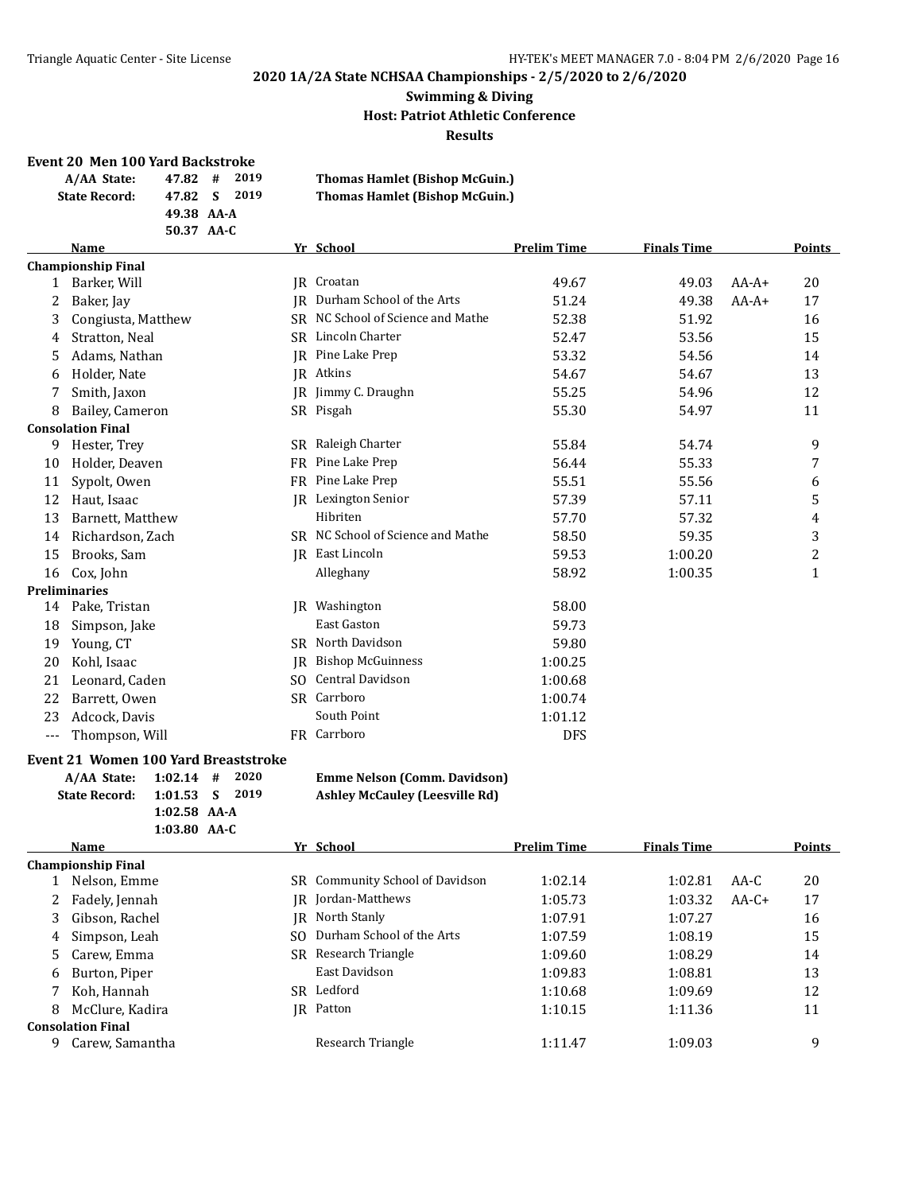#### **Swimming & Diving Host: Patriot Athletic Conference Results**

#### **Event 20 Men 100 Yard Backstroke**

| A/AA State:          | 47.82 # 2019 |  | <b>Thomas Hamlet (Bishop McGuin.)</b> |
|----------------------|--------------|--|---------------------------------------|
| <b>State Record:</b> | 47.82 S 2019 |  | <b>Thomas Hamlet (Bishop McGuin.)</b> |
|                      | 49.38 AA-A   |  |                                       |
|                      | 50.37 AA-C   |  |                                       |

|                           |                |                                |                                                                                                                                             |                    |                    | <b>Points</b> |
|---------------------------|----------------|--------------------------------|---------------------------------------------------------------------------------------------------------------------------------------------|--------------------|--------------------|---------------|
| <b>Championship Final</b> |                |                                |                                                                                                                                             |                    |                    |               |
| Barker, Will              |                | Croatan                        | 49.67                                                                                                                                       | 49.03              | $AA-A+$            | 20            |
| Baker, Jay                | IR             | Durham School of the Arts      | 51.24                                                                                                                                       | 49.38              | $AA-A+$            | 17            |
| Congiusta, Matthew        |                | NC School of Science and Mathe | 52.38                                                                                                                                       | 51.92              |                    | 16            |
| Stratton, Neal            |                | Lincoln Charter                | 52.47                                                                                                                                       | 53.56              |                    | 15            |
| Adams, Nathan             | IR             | Pine Lake Prep                 | 53.32                                                                                                                                       | 54.56              |                    | 14            |
| Holder, Nate              |                |                                | 54.67                                                                                                                                       | 54.67              |                    | 13            |
| Smith, Jaxon              |                | Jimmy C. Draughn               | 55.25                                                                                                                                       | 54.96              |                    | 12            |
| Bailey, Cameron           |                |                                | 55.30                                                                                                                                       | 54.97              |                    | 11            |
| <b>Consolation Final</b>  |                |                                |                                                                                                                                             |                    |                    |               |
| Hester, Trey              | SR.            | Raleigh Charter                | 55.84                                                                                                                                       | 54.74              |                    | 9             |
| Holder, Deaven            | FR.            | Pine Lake Prep                 | 56.44                                                                                                                                       | 55.33              |                    |               |
| Sypolt, Owen              | FR             | Pine Lake Prep                 | 55.51                                                                                                                                       | 55.56              |                    | 6             |
| Haut, Isaac               |                | Lexington Senior               | 57.39                                                                                                                                       | 57.11              |                    | 5             |
| Barnett, Matthew          |                | Hibriten                       | 57.70                                                                                                                                       | 57.32              |                    | 4             |
| Richardson, Zach          |                |                                | 58.50                                                                                                                                       | 59.35              |                    | 3             |
| Brooks, Sam               | <b>IR</b>      | East Lincoln                   | 59.53                                                                                                                                       | 1:00.20            |                    | 2             |
| Cox, John                 |                | Alleghany                      | 58.92                                                                                                                                       | 1:00.35            |                    | 1             |
| <b>Preliminaries</b>      |                |                                |                                                                                                                                             |                    |                    |               |
| Pake, Tristan             |                | Washington                     | 58.00                                                                                                                                       |                    |                    |               |
| Simpson, Jake             |                | <b>East Gaston</b>             | 59.73                                                                                                                                       |                    |                    |               |
| Young, CT                 |                | North Davidson                 | 59.80                                                                                                                                       |                    |                    |               |
| Kohl, Isaac               | IR             | <b>Bishop McGuinness</b>       | 1:00.25                                                                                                                                     |                    |                    |               |
| Leonard, Caden            | S <sub>O</sub> | <b>Central Davidson</b>        | 1:00.68                                                                                                                                     |                    |                    |               |
| Barrett, Owen             |                |                                | 1:00.74                                                                                                                                     |                    |                    |               |
| Adcock, Davis             |                | South Point                    | 1:01.12                                                                                                                                     |                    |                    |               |
| Thompson, Will            |                |                                | <b>DFS</b>                                                                                                                                  |                    |                    |               |
|                           | <b>Name</b>    |                                | Yr School<br>IR<br>SR<br>SR<br>JR Atkins<br>IR<br>SR Pisgah<br>SR NC School of Science and Mathe<br>IR<br>SR.<br>SR Carrboro<br>FR Carrboro | <b>Prelim Time</b> | <b>Finals Time</b> |               |

#### **Event 21 Women 100 Yard Breaststroke**

| A/AA State: 1:02.14 # 2020 |                  |  |
|----------------------------|------------------|--|
| State Record:              | $1:01.53$ S 2019 |  |
|                            | $1:02.58$ AA-A   |  |
|                            | $1:03.80$ AA-C   |  |

#### $\mathbf{F}$ mme Nelson (Comm. Davidson) **State Record: 1:01.53 S 2019 Ashley McCauley (Leesville Rd)**

|    | Name                      |     | Yr School                       | <b>Prelim Time</b> | <b>Finals Time</b> |         | Points |
|----|---------------------------|-----|---------------------------------|--------------------|--------------------|---------|--------|
|    | <b>Championship Final</b> |     |                                 |                    |                    |         |        |
|    | Nelson, Emme              |     | SR Community School of Davidson | 1:02.14            | 1:02.81            | AA-C    | 20     |
|    | 2 Fadely, Jennah          |     | IR Jordan-Matthews              | 1:05.73            | 1:03.32            | $AA-C+$ | 17     |
|    | Gibson, Rachel            | IR  | North Stanly                    | 1:07.91            | 1:07.27            |         | 16     |
| 4  | Simpson, Leah             | SO. | Durham School of the Arts       | 1:07.59            | 1:08.19            |         | 15     |
|    | 5 Carew, Emma             |     | SR Research Triangle            | 1:09.60            | 1:08.29            |         | 14     |
| 6  | Burton, Piper             |     | East Davidson                   | 1:09.83            | 1:08.81            |         | 13     |
|    | 7 Koh, Hannah             |     | SR Ledford                      | 1:10.68            | 1:09.69            |         | 12     |
| 8  | McClure, Kadira           |     | IR Patton                       | 1:10.15            | 1:11.36            |         | 11     |
|    | <b>Consolation Final</b>  |     |                                 |                    |                    |         |        |
| -9 | Carew, Samantha           |     | Research Triangle               | 1:11.47            | 1:09.03            |         | 9      |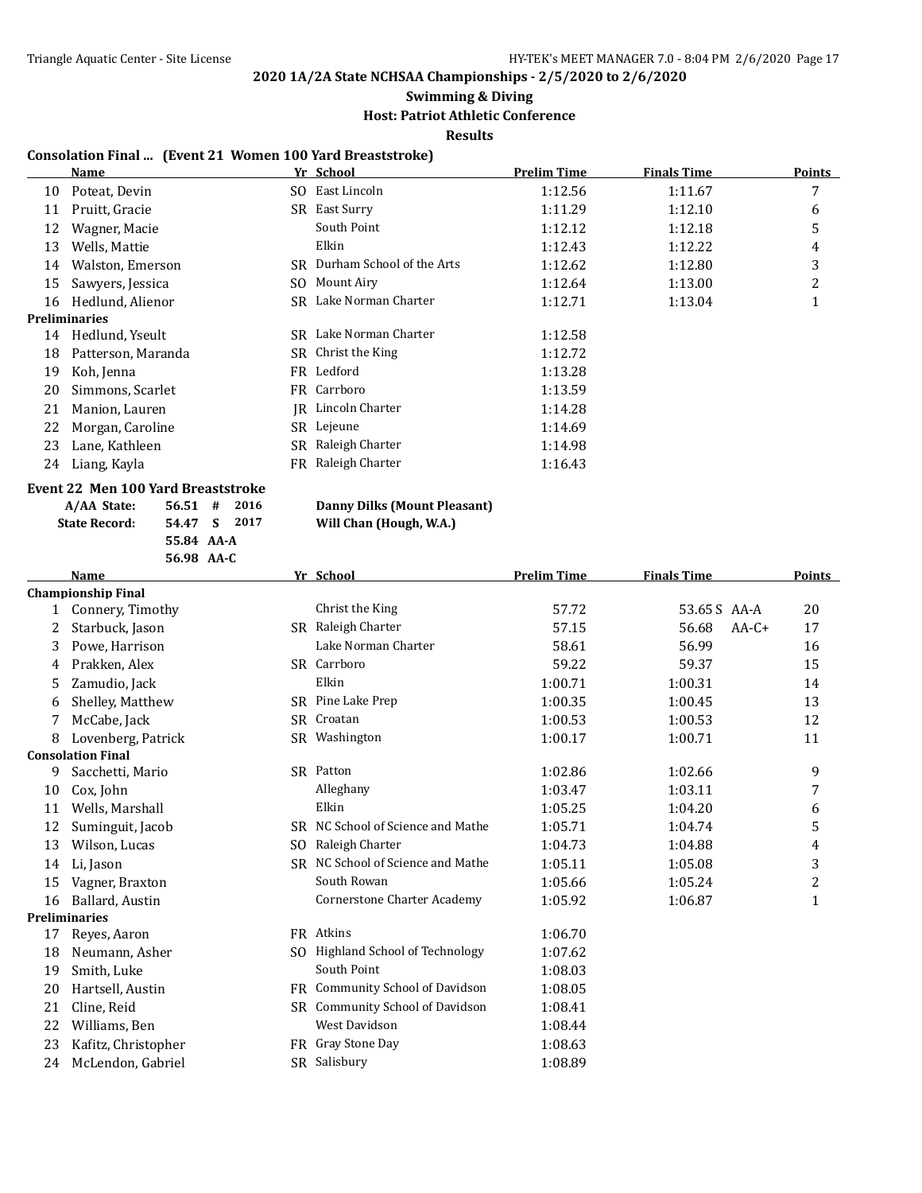#### **Swimming & Diving**

#### **Host: Patriot Athletic Conference**

**Results**

#### **Consolation Final ... (Event 21 Women 100 Yard Breaststroke)**

|    | Name                 |     | Yr School                 | <b>Prelim Time</b> | <b>Finals Time</b> | Points |
|----|----------------------|-----|---------------------------|--------------------|--------------------|--------|
| 10 | Poteat, Devin        | SO. | East Lincoln              | 1:12.56            | 1:11.67            | 7      |
| 11 | Pruitt, Gracie       | SR  | East Surry                | 1:11.29            | 1:12.10            | 6      |
| 12 | Wagner, Macie        |     | South Point               | 1:12.12            | 1:12.18            | 5      |
| 13 | Wells, Mattie        |     | Elkin                     | 1:12.43            | 1:12.22            | 4      |
| 14 | Walston, Emerson     | SR. | Durham School of the Arts | 1:12.62            | 1:12.80            | 3      |
| 15 | Sawyers, Jessica     | SO. | Mount Airy                | 1:12.64            | 1:13.00            | 2      |
| 16 | Hedlund, Alienor     | SR  | Lake Norman Charter       | 1:12.71            | 1:13.04            |        |
|    | <b>Preliminaries</b> |     |                           |                    |                    |        |
| 14 | Hedlund, Yseult      |     | SR Lake Norman Charter    | 1:12.58            |                    |        |
| 18 | Patterson, Maranda   |     | SR Christ the King        | 1:12.72            |                    |        |
| 19 | Koh, Jenna           |     | FR Ledford                | 1:13.28            |                    |        |
| 20 | Simmons, Scarlet     |     | FR Carrboro               | 1:13.59            |                    |        |
| 21 | Manion, Lauren       |     | IR Lincoln Charter        | 1:14.28            |                    |        |
| 22 | Morgan, Caroline     |     | SR Lejeune                | 1:14.69            |                    |        |
| 23 | Lane, Kathleen       | SR  | Raleigh Charter           | 1:14.98            |                    |        |
| 24 | Liang, Kayla         | FR  | Raleigh Charter           | 1:16.43            |                    |        |
|    |                      |     |                           |                    |                    |        |

### **Event 22 Men 100 Yard Breaststroke**

| A/AA State:          | 56.51#     |     |
|----------------------|------------|-----|
| <b>State Record:</b> | 54.47 S    | - 1 |
|                      | 55.84 AA-A |     |
|                      | 56.98 AA-C |     |

#### **2016 Danny Dilks (Mount Pleasant)**<br>2017 **Will Chan (Hough, W.A.) State Record: 54.47 S 2017 Will Chan (Hough, W.A.)**

|    | <b>Name</b>               |     | Yr School                            | <b>Prelim Time</b> | <b>Finals Time</b> | <b>Points</b>  |
|----|---------------------------|-----|--------------------------------------|--------------------|--------------------|----------------|
|    | <b>Championship Final</b> |     |                                      |                    |                    |                |
| 1  | Connery, Timothy          |     | Christ the King                      | 57.72              | 53.65 S AA-A       | 20             |
| 2  | Starbuck, Jason           |     | SR Raleigh Charter                   | 57.15              | 56.68<br>$AA-C+$   | 17             |
| 3  | Powe, Harrison            |     | Lake Norman Charter                  | 58.61              | 56.99              | 16             |
| 4  | Prakken, Alex             |     | SR Carrboro                          | 59.22              | 59.37              | 15             |
| 5  | Zamudio, Jack             |     | Elkin                                | 1:00.71            | 1:00.31            | 14             |
| 6  | Shelley, Matthew          |     | SR Pine Lake Prep                    | 1:00.35            | 1:00.45            | 13             |
| 7  | McCabe, Jack              |     | SR Croatan                           | 1:00.53            | 1:00.53            | 12             |
| 8  | Lovenberg, Patrick        |     | SR Washington                        | 1:00.17            | 1:00.71            | 11             |
|    | <b>Consolation Final</b>  |     |                                      |                    |                    |                |
| 9  | Sacchetti, Mario          |     | SR Patton                            | 1:02.86            | 1:02.66            | 9              |
| 10 | Cox, John                 |     | Alleghany                            | 1:03.47            | 1:03.11            | 7              |
| 11 | Wells, Marshall           |     | Elkin                                | 1:05.25            | 1:04.20            | 6              |
| 12 | Suminguit, Jacob          |     | SR NC School of Science and Mathe    | 1:05.71            | 1:04.74            | 5              |
| 13 | Wilson, Lucas             | SO. | Raleigh Charter                      | 1:04.73            | 1:04.88            | 4              |
| 14 | Li, Jason                 |     | SR NC School of Science and Mathe    | 1:05.11            | 1:05.08            | 3              |
| 15 | Vagner, Braxton           |     | South Rowan                          | 1:05.66            | 1:05.24            | $\overline{c}$ |
| 16 | Ballard, Austin           |     | <b>Cornerstone Charter Academy</b>   | 1:05.92            | 1:06.87            | $\mathbf{1}$   |
|    | <b>Preliminaries</b>      |     |                                      |                    |                    |                |
| 17 | Reyes, Aaron              |     | FR Atkins                            | 1:06.70            |                    |                |
| 18 | Neumann, Asher            | SO. | <b>Highland School of Technology</b> | 1:07.62            |                    |                |
| 19 | Smith, Luke               |     | South Point                          | 1:08.03            |                    |                |
| 20 | Hartsell, Austin          |     | FR Community School of Davidson      | 1:08.05            |                    |                |
| 21 | Cline, Reid               |     | SR Community School of Davidson      | 1:08.41            |                    |                |
| 22 | Williams, Ben             |     | West Davidson                        | 1:08.44            |                    |                |
| 23 | Kafitz, Christopher       |     | FR Gray Stone Day                    | 1:08.63            |                    |                |
| 24 | McLendon, Gabriel         | SR. | Salisbury                            | 1:08.89            |                    |                |
|    |                           |     |                                      |                    |                    |                |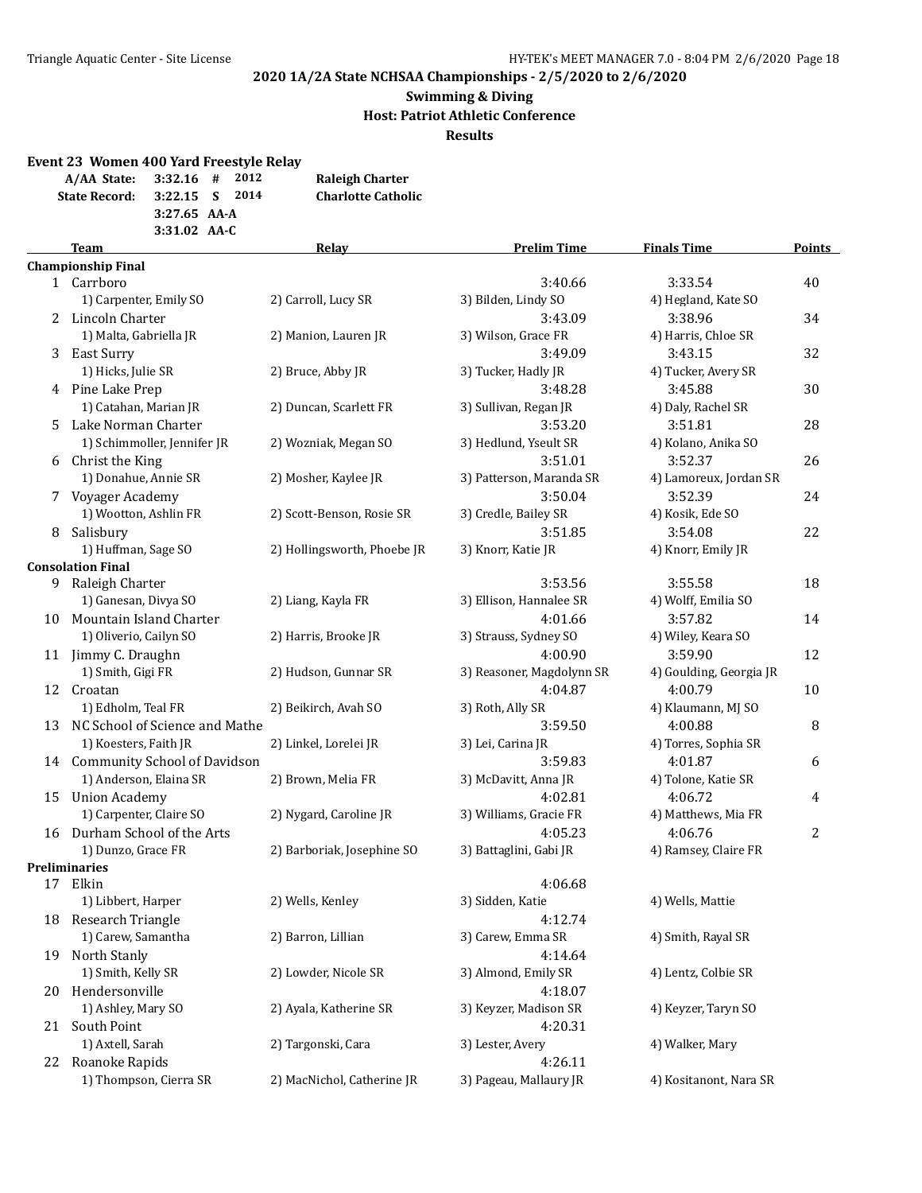#### **Swimming & Diving Host: Patriot Athletic Conference Results**

**Event 23 Women 400 Yard Freestyle Relay A/AA State: 3:32.16 # 2012 Raleigh Charter**

|                      | $A/AA$ State: $3:32.16$ # $4.012$ | Raieign Charter           |
|----------------------|-----------------------------------|---------------------------|
| <b>State Record:</b> | $3:22.15$ S 2014                  | <b>Charlotte Catholic</b> |
|                      | $3:27.65$ AA-A                    |                           |
|                      | $3:31.02$ AA-C                    |                           |

|    | <b>Team</b>                     | Relay                       | <b>Prelim Time</b>        | <b>Finals Time</b>      | <b>Points</b> |
|----|---------------------------------|-----------------------------|---------------------------|-------------------------|---------------|
|    | <b>Championship Final</b>       |                             |                           |                         |               |
|    | 1 Carrboro                      |                             | 3:40.66                   | 3:33.54                 | 40            |
|    | 1) Carpenter, Emily SO          | 2) Carroll, Lucy SR         | 3) Bilden, Lindy SO       | 4) Hegland, Kate SO     |               |
|    | 2 Lincoln Charter               |                             | 3:43.09                   | 3:38.96                 | 34            |
|    | 1) Malta, Gabriella JR          | 2) Manion, Lauren JR        | 3) Wilson, Grace FR       | 4) Harris, Chloe SR     |               |
|    | 3 East Surry                    |                             | 3:49.09                   | 3:43.15                 | 32            |
|    | 1) Hicks, Julie SR              | 2) Bruce, Abby JR           | 3) Tucker, Hadly JR       | 4) Tucker, Avery SR     |               |
|    | 4 Pine Lake Prep                |                             | 3:48.28                   | 3:45.88                 | 30            |
|    | 1) Catahan, Marian JR           | 2) Duncan, Scarlett FR      | 3) Sullivan, Regan JR     | 4) Daly, Rachel SR      |               |
| 5. | Lake Norman Charter             |                             | 3:53.20                   | 3:51.81                 | 28            |
|    | 1) Schimmoller, Jennifer JR     | 2) Wozniak, Megan SO        | 3) Hedlund, Yseult SR     | 4) Kolano, Anika SO     |               |
|    | 6 Christ the King               |                             | 3:51.01                   | 3:52.37                 | 26            |
|    | 1) Donahue, Annie SR            | 2) Mosher, Kaylee JR        | 3) Patterson, Maranda SR  | 4) Lamoreux, Jordan SR  |               |
|    | 7 Voyager Academy               |                             | 3:50.04                   | 3:52.39                 | 24            |
|    | 1) Wootton, Ashlin FR           | 2) Scott-Benson, Rosie SR   | 3) Credle, Bailey SR      | 4) Kosik, Ede SO        |               |
| 8  | Salisbury                       |                             | 3:51.85                   | 3:54.08                 | 22            |
|    | 1) Huffman, Sage SO             | 2) Hollingsworth, Phoebe JR | 3) Knorr, Katie JR        | 4) Knorr, Emily JR      |               |
|    | <b>Consolation Final</b>        |                             |                           |                         |               |
| 9. | Raleigh Charter                 |                             | 3:53.56                   | 3:55.58                 | 18            |
|    | 1) Ganesan, Divya SO            | 2) Liang, Kayla FR          | 3) Ellison, Hannalee SR   | 4) Wolff, Emilia SO     |               |
| 10 | Mountain Island Charter         |                             | 4:01.66                   | 3:57.82                 | 14            |
|    | 1) Oliverio, Cailyn SO          | 2) Harris, Brooke JR        | 3) Strauss, Sydney SO     | 4) Wiley, Keara SO      |               |
|    | 11 Jimmy C. Draughn             |                             | 4:00.90                   | 3:59.90                 | 12            |
|    | 1) Smith, Gigi FR               | 2) Hudson, Gunnar SR        | 3) Reasoner, Magdolynn SR | 4) Goulding, Georgia JR |               |
|    | 12 Croatan                      |                             | 4:04.87                   | 4:00.79                 | 10            |
|    | 1) Edholm, Teal FR              | 2) Beikirch, Avah SO        | 3) Roth, Ally SR          | 4) Klaumann, MJ SO      |               |
| 13 | NC School of Science and Mathe  |                             | 3:59.50                   | 4:00.88                 | 8             |
|    | 1) Koesters, Faith JR           | 2) Linkel, Lorelei JR       | 3) Lei, Carina JR         | 4) Torres, Sophia SR    |               |
|    | 14 Community School of Davidson |                             | 3:59.83                   | 4:01.87                 | 6             |
|    | 1) Anderson, Elaina SR          | 2) Brown, Melia FR          | 3) McDavitt, Anna JR      | 4) Tolone, Katie SR     |               |
|    | 15 Union Academy                |                             | 4:02.81                   | 4:06.72                 | 4             |
|    | 1) Carpenter, Claire SO         | 2) Nygard, Caroline JR      | 3) Williams, Gracie FR    | 4) Matthews, Mia FR     |               |
|    | 16 Durham School of the Arts    |                             | 4:05.23                   | 4:06.76                 | 2             |
|    | 1) Dunzo, Grace FR              | 2) Barboriak, Josephine SO  | 3) Battaglini, Gabi JR    | 4) Ramsey, Claire FR    |               |
|    | <b>Preliminaries</b>            |                             |                           |                         |               |
|    | 17 Elkin                        |                             | 4:06.68                   |                         |               |
|    | 1) Libbert, Harper              | 2) Wells, Kenley            | 3) Sidden, Katie          | 4) Wells, Mattie        |               |
|    | 18 Research Triangle            |                             | 4:12.74                   |                         |               |
|    | 1) Carew, Samantha              | 2) Barron, Lillian          | 3) Carew, Emma SR         | 4) Smith, Rayal SR      |               |
| 19 | North Stanly                    |                             | 4:14.64                   |                         |               |
|    | 1) Smith, Kelly SR              | 2) Lowder, Nicole SR        | 3) Almond, Emily SR       | 4) Lentz, Colbie SR     |               |
| 20 | Hendersonville                  |                             | 4:18.07                   |                         |               |
|    | 1) Ashley, Mary SO              | 2) Ayala, Katherine SR      | 3) Keyzer, Madison SR     | 4) Keyzer, Taryn SO     |               |
| 21 | South Point                     |                             | 4:20.31                   |                         |               |
|    | 1) Axtell, Sarah                | 2) Targonski, Cara          | 3) Lester, Avery          | 4) Walker, Mary         |               |
| 22 | Roanoke Rapids                  |                             | 4:26.11                   |                         |               |
|    | 1) Thompson, Cierra SR          | 2) MacNichol, Catherine JR  | 3) Pageau, Mallaury JR    | 4) Kositanont, Nara SR  |               |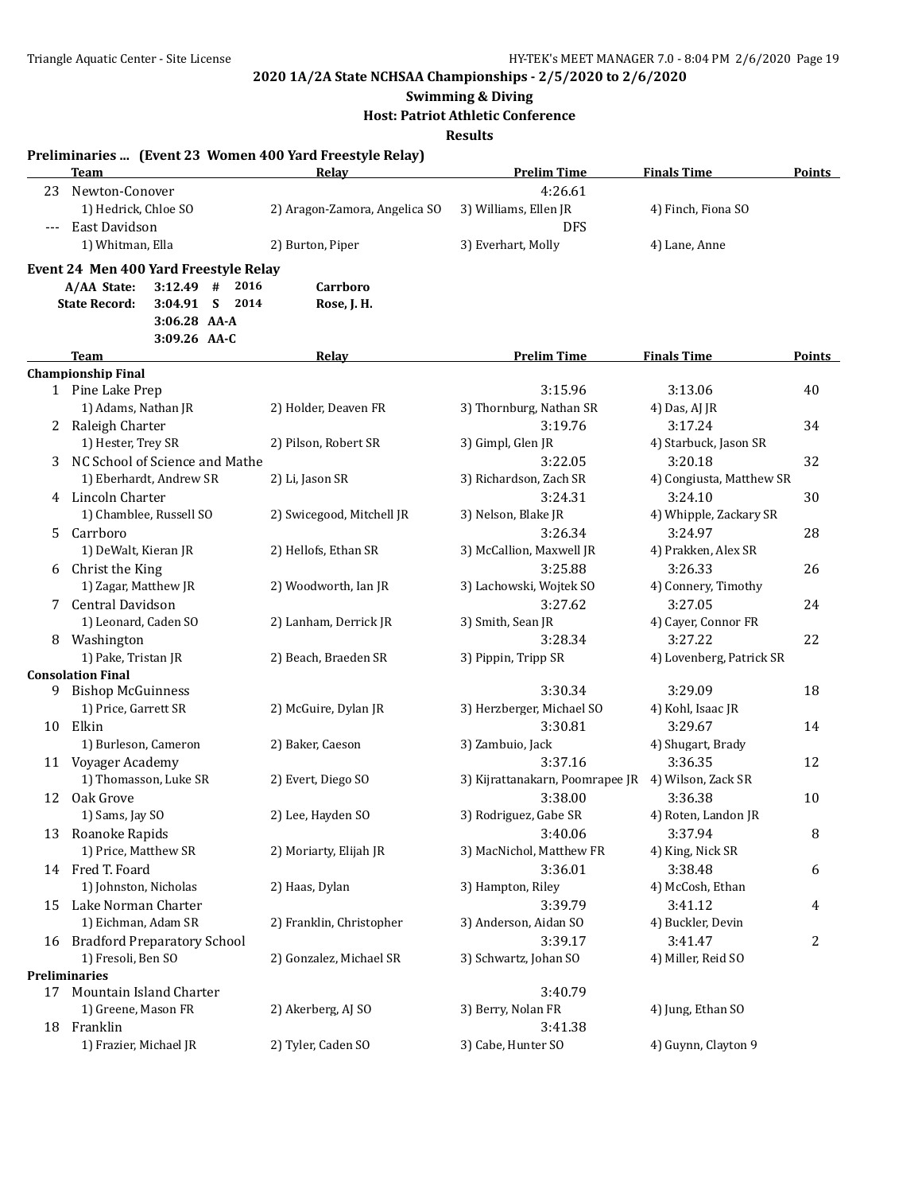#### **Swimming & Diving**

**Host: Patriot Athletic Conference**

**Results**

|          |                                       |              |          | Preliminaries  (Event 23 Women 400 Yard Freestyle Relay) |                                                    |                          |                |
|----------|---------------------------------------|--------------|----------|----------------------------------------------------------|----------------------------------------------------|--------------------------|----------------|
|          | <b>Team</b>                           |              |          | Relay                                                    | <b>Prelim Time</b>                                 | <b>Finals Time</b>       | <b>Points</b>  |
| 23       | Newton-Conover                        |              |          |                                                          | 4:26.61                                            |                          |                |
|          | 1) Hedrick, Chloe SO                  |              |          | 2) Aragon-Zamora, Angelica SO                            | 3) Williams, Ellen JR                              | 4) Finch, Fiona SO       |                |
| $\cdots$ | East Davidson                         |              |          |                                                          | <b>DFS</b>                                         |                          |                |
|          | 1) Whitman, Ella                      |              |          | 2) Burton, Piper                                         | 3) Everhart, Molly                                 | 4) Lane, Anne            |                |
|          | Event 24 Men 400 Yard Freestyle Relay |              |          |                                                          |                                                    |                          |                |
|          | A/AA State:                           | $3:12.49$ #  | 2016     | Carrboro                                                 |                                                    |                          |                |
|          | <b>State Record:</b>                  | 3:04.91      | $S$ 2014 | Rose, J. H.                                              |                                                    |                          |                |
|          |                                       | 3:06.28 AA-A |          |                                                          |                                                    |                          |                |
|          |                                       | 3:09.26 AA-C |          |                                                          |                                                    |                          |                |
|          | Team                                  |              |          | <b>Relay</b>                                             | <b>Prelim Time</b>                                 | <b>Finals Time</b>       | Points         |
|          | <b>Championship Final</b>             |              |          |                                                          |                                                    |                          |                |
|          | 1 Pine Lake Prep                      |              |          |                                                          | 3:15.96                                            | 3:13.06                  | 40             |
|          | 1) Adams, Nathan JR                   |              |          | 2) Holder, Deaven FR                                     | 3) Thornburg, Nathan SR                            | 4) Das, AJ JR            |                |
|          | 2 Raleigh Charter                     |              |          |                                                          | 3:19.76                                            | 3:17.24                  | 34             |
|          | 1) Hester, Trey SR                    |              |          | 2) Pilson, Robert SR                                     | 3) Gimpl, Glen JR                                  | 4) Starbuck, Jason SR    |                |
|          | 3 NC School of Science and Mathe      |              |          |                                                          | 3:22.05                                            | 3:20.18                  | 32             |
|          | 1) Eberhardt, Andrew SR               |              |          | 2) Li, Jason SR                                          | 3) Richardson, Zach SR                             | 4) Congiusta, Matthew SR |                |
|          | 4 Lincoln Charter                     |              |          |                                                          | 3:24.31                                            | 3:24.10                  | 30             |
|          | 1) Chamblee, Russell SO               |              |          | 2) Swicegood, Mitchell JR                                | 3) Nelson, Blake JR                                | 4) Whipple, Zackary SR   |                |
| 5.       | Carrboro                              |              |          |                                                          | 3:26.34                                            | 3:24.97                  | 28             |
|          | 1) DeWalt, Kieran JR                  |              |          | 2) Hellofs, Ethan SR                                     | 3) McCallion, Maxwell JR                           | 4) Prakken, Alex SR      |                |
|          | 6 Christ the King                     |              |          |                                                          | 3:25.88                                            | 3:26.33                  | 26             |
|          | 1) Zagar, Matthew JR                  |              |          | 2) Woodworth, Ian JR                                     | 3) Lachowski, Wojtek SO                            | 4) Connery, Timothy      |                |
| 7        | Central Davidson                      |              |          |                                                          | 3:27.62                                            | 3:27.05                  | 24             |
|          | 1) Leonard, Caden SO                  |              |          | 2) Lanham, Derrick JR                                    | 3) Smith, Sean JR                                  | 4) Cayer, Connor FR      |                |
|          | 8 Washington                          |              |          |                                                          | 3:28.34                                            | 3:27.22                  | 22             |
|          | 1) Pake, Tristan JR                   |              |          | 2) Beach, Braeden SR                                     | 3) Pippin, Tripp SR                                | 4) Lovenberg, Patrick SR |                |
|          | <b>Consolation Final</b>              |              |          |                                                          |                                                    |                          |                |
| 9        | <b>Bishop McGuinness</b>              |              |          |                                                          | 3:30.34                                            | 3:29.09                  | 18             |
|          | 1) Price, Garrett SR                  |              |          | 2) McGuire, Dylan JR                                     | 3) Herzberger, Michael SO                          | 4) Kohl, Isaac JR        |                |
|          | 10 Elkin                              |              |          |                                                          | 3:30.81                                            | 3:29.67                  | 14             |
|          | 1) Burleson, Cameron                  |              |          | 2) Baker, Caeson                                         | 3) Zambuio, Jack                                   | 4) Shugart, Brady        |                |
|          | 11 Voyager Academy                    |              |          |                                                          | 3:37.16                                            | 3:36.35                  | 12             |
|          | 1) Thomasson, Luke SR                 |              |          | 2) Evert, Diego SO                                       | 3) Kijrattanakarn, Poomrapee JR 4) Wilson, Zack SR |                          |                |
| 12       | Oak Grove                             |              |          |                                                          | 3:38.00                                            | 3:36.38                  | 10             |
|          | 1) Sams, Jay SO                       |              |          | 2) Lee, Hayden SO                                        | 3) Rodriguez, Gabe SR                              | 4) Roten, Landon JR      |                |
|          | 13 Roanoke Rapids                     |              |          |                                                          | 3:40.06                                            | 3:37.94                  | 8              |
|          | 1) Price, Matthew SR                  |              |          | 2) Moriarty, Elijah JR                                   | 3) MacNichol, Matthew FR                           | 4) King, Nick SR         |                |
|          | 14 Fred T. Foard                      |              |          |                                                          | 3:36.01                                            | 3:38.48                  | 6              |
|          | 1) Johnston, Nicholas                 |              |          | 2) Haas, Dylan                                           | 3) Hampton, Riley                                  | 4) McCosh, Ethan         |                |
|          | 15 Lake Norman Charter                |              |          |                                                          | 3:39.79                                            | 3:41.12                  | 4              |
|          | 1) Eichman, Adam SR                   |              |          | 2) Franklin, Christopher                                 | 3) Anderson, Aidan SO                              | 4) Buckler, Devin        |                |
|          | 16 Bradford Preparatory School        |              |          |                                                          | 3:39.17                                            | 3:41.47                  | $\overline{2}$ |
|          | 1) Fresoli, Ben SO                    |              |          | 2) Gonzalez, Michael SR                                  | 3) Schwartz, Johan SO                              | 4) Miller, Reid SO       |                |
|          | <b>Preliminaries</b>                  |              |          |                                                          |                                                    |                          |                |
| 17       | Mountain Island Charter               |              |          |                                                          | 3:40.79                                            |                          |                |
|          | 1) Greene, Mason FR                   |              |          | 2) Akerberg, AJ SO                                       | 3) Berry, Nolan FR                                 | 4) Jung, Ethan SO        |                |
|          | 18 Franklin                           |              |          |                                                          | 3:41.38                                            |                          |                |
|          | 1) Frazier, Michael JR                |              |          | 2) Tyler, Caden SO                                       | 3) Cabe, Hunter SO                                 | 4) Guynn, Clayton 9      |                |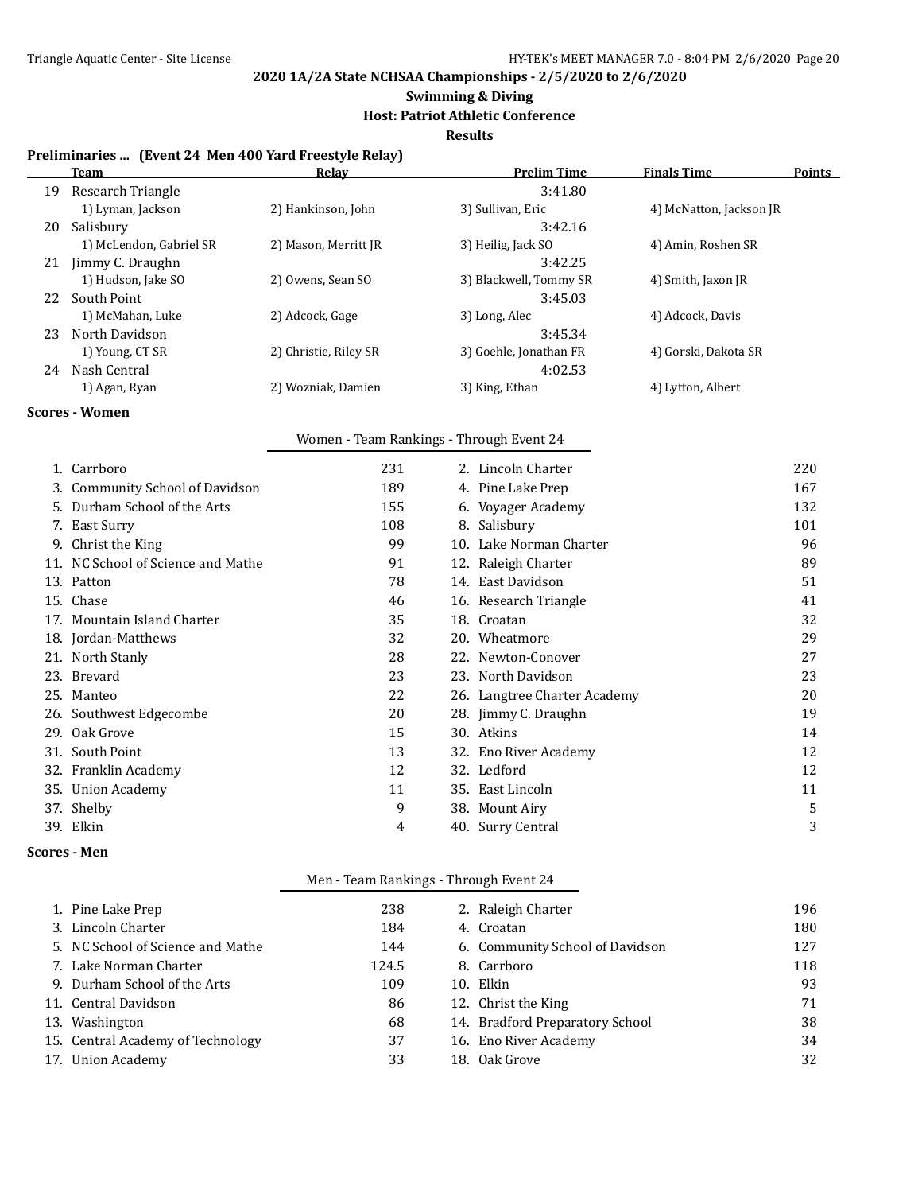#### **Swimming & Diving**

#### **Host: Patriot Athletic Conference**

**Results**

#### **Preliminaries ... (Event 24 Men 400 Yard Freestyle Relay)**

| Team                    | Relay                 | <b>Prelim Time</b>     | <b>Finals Time</b>      | <b>Points</b> |
|-------------------------|-----------------------|------------------------|-------------------------|---------------|
| Research Triangle       |                       | 3:41.80                |                         |               |
| 1) Lyman, Jackson       | 2) Hankinson, John    | 3) Sullivan, Eric      | 4) McNatton, Jackson JR |               |
| Salisbury               |                       | 3:42.16                |                         |               |
| 1) McLendon, Gabriel SR | 2) Mason, Merritt JR  | 3) Heilig, Jack SO     | 4) Amin, Roshen SR      |               |
| Jimmy C. Draughn        |                       | 3:42.25                |                         |               |
| 1) Hudson, Jake SO      | 2) Owens, Sean SO     | 3) Blackwell, Tommy SR | 4) Smith, Jaxon JR      |               |
| South Point             |                       | 3:45.03                |                         |               |
| 1) McMahan, Luke        | 2) Adcock, Gage       | 3) Long, Alec          | 4) Adcock, Davis        |               |
| North Davidson          |                       | 3:45.34                |                         |               |
| 1) Young, CT SR         | 2) Christie, Riley SR | 3) Goehle, Jonathan FR | 4) Gorski, Dakota SR    |               |
| Nash Central            |                       | 4:02.53                |                         |               |
| 1) Agan, Ryan           | 2) Wozniak, Damien    | 3) King, Ethan         | 4) Lytton, Albert       |               |
|                         |                       |                        |                         |               |

#### **Scores - Women**

#### Women - Team Rankings - Through Event 24

| 1. Carrboro                        | 231 |     | 2. Lincoln Charter           | 220 |
|------------------------------------|-----|-----|------------------------------|-----|
| 3. Community School of Davidson    | 189 |     | 4. Pine Lake Prep            | 167 |
| 5. Durham School of the Arts       | 155 |     | 6. Voyager Academy           | 132 |
| 7. East Surry                      | 108 | 8.  | Salisbury                    | 101 |
| 9. Christ the King                 | 99  | 10. | Lake Norman Charter          | 96  |
| 11. NC School of Science and Mathe | 91  |     | 12. Raleigh Charter          | 89  |
| 13. Patton                         | 78  |     | 14. East Davidson            | 51  |
| 15. Chase                          | 46  |     | 16. Research Triangle        | 41  |
| 17. Mountain Island Charter        | 35  |     | 18. Croatan                  | 32  |
| 18. Jordan-Matthews                | 32  |     | 20. Wheatmore                | 29  |
| 21. North Stanly                   | 28  |     | 22. Newton-Conover           | 27  |
| 23. Brevard                        | 23  |     | 23. North Davidson           | 23  |
| 25. Manteo                         | 22  |     | 26. Langtree Charter Academy | 20  |
| 26. Southwest Edgecombe            | 20  |     | 28. Jimmy C. Draughn         | 19  |
| 29. Oak Grove                      | 15  |     | 30. Atkins                   | 14  |
| 31. South Point                    | 13  |     | 32. Eno River Academy        | 12  |
| 32. Franklin Academy               | 12  |     | 32. Ledford                  | 12  |
| 35. Union Academy                  | 11  |     | 35. East Lincoln             | 11  |
| 37. Shelby                         | 9   |     | 38. Mount Airy               | 5   |
| 39. Elkin                          | 4   |     | 40. Surry Central            | 3   |

#### **Scores - Men**

#### Men - Team Rankings - Through Event 24

| 1. Pine Lake Prep                 | 238   | 2. Raleigh Charter              | 196 |
|-----------------------------------|-------|---------------------------------|-----|
| 3. Lincoln Charter                | 184   | 4. Croatan                      | 180 |
| 5. NC School of Science and Mathe | 144   | 6. Community School of Davidson | 127 |
| 7. Lake Norman Charter            | 124.5 | 8. Carrboro                     | 118 |
| 9. Durham School of the Arts      | 109   | 10. Elkin                       | 93  |
| 11. Central Davidson              | 86    | 12. Christ the King             | 71  |
| 13. Washington                    | 68    | 14. Bradford Preparatory School | 38  |
| 15. Central Academy of Technology | 37    | 16. Eno River Academy           | 34  |
| 17. Union Academy                 | 33    | 18. Oak Grove                   | 32  |